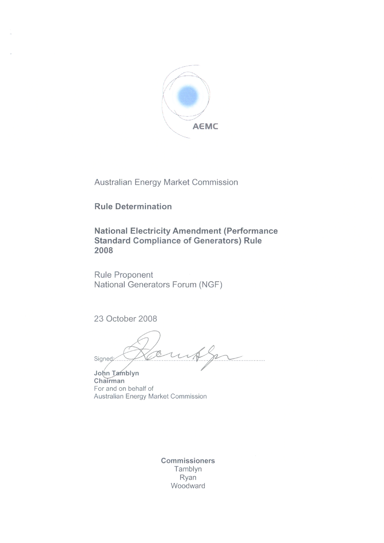

**Australian Energy Market Commission** 

**Rule Determination** 

**National Electricity Amendment (Performance Standard Compliance of Generators) Rule** 2008

**Rule Proponent** National Generators Forum (NGF)

23 October 2008

Signed:

John Tamblyn Chairman For and on behalf of Australian Energy Market Commission

**Commissioners** Tamblyn Ryan Woodward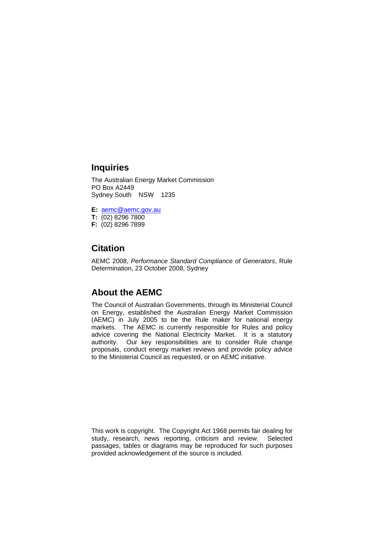# **Inquiries**

The Australian Energy Market Commission PO Box A2449 Sydney South NSW 1235

**E:** aemc@aemc.gov.au **T:** (02) 8296 7800

**F:** (02) 8296 7899

# **Citation**

AEMC 2008, *Performance Standard Compliance of Generators*, Rule Determination, 23 October 2008, Sydney

# **About the AEMC**

The Council of Australian Governments, through its Ministerial Council on Energy, established the Australian Energy Market Commission (AEMC) in July 2005 to be the Rule maker for national energy markets. The AEMC is currently responsible for Rules and policy advice covering the National Electricity Market. It is a statutory authority. Our key responsibilities are to consider Rule change proposals, conduct energy market reviews and provide policy advice to the Ministerial Council as requested, or on AEMC initiative.

This work is copyright. The Copyright Act 1968 permits fair dealing for study, research, news reporting, criticism and review. Selected passages, tables or diagrams may be reproduced for such purposes provided acknowledgement of the source is included.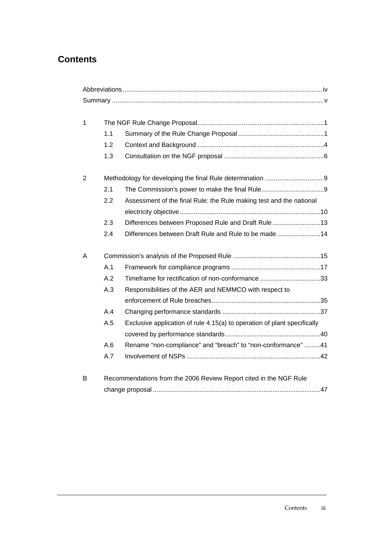# **Contents**

| $\mathbf{1}$   |                                                                   |                                                                          |  |
|----------------|-------------------------------------------------------------------|--------------------------------------------------------------------------|--|
|                | 1.1                                                               |                                                                          |  |
|                | 1.2                                                               |                                                                          |  |
|                | 1.3                                                               |                                                                          |  |
| $\overline{2}$ |                                                                   |                                                                          |  |
|                | 2.1                                                               |                                                                          |  |
|                | 2.2                                                               | Assessment of the final Rule: the Rule making test and the national      |  |
|                |                                                                   |                                                                          |  |
|                | 2.3                                                               | Differences between Proposed Rule and Draft Rule13                       |  |
|                | 2.4                                                               | Differences between Draft Rule and Rule to be made 14                    |  |
| A              |                                                                   |                                                                          |  |
|                | A.1                                                               |                                                                          |  |
|                | A.2                                                               | Timeframe for rectification of non-conformance33                         |  |
|                | A.3                                                               | Responsibilities of the AER and NEMMCO with respect to                   |  |
|                |                                                                   |                                                                          |  |
|                | A.4                                                               |                                                                          |  |
|                | A.5                                                               | Exclusive application of rule 4.15(a) to operation of plant specifically |  |
|                |                                                                   |                                                                          |  |
|                | A.6                                                               | Rename "non-compliance" and "breach" to "non-conformance" 41             |  |
|                | A.7                                                               |                                                                          |  |
| B              | Recommendations from the 2006 Review Report cited in the NGF Rule |                                                                          |  |
|                |                                                                   |                                                                          |  |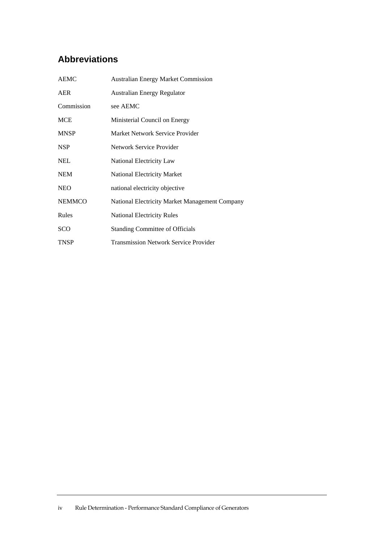# **Abbreviations**

| <b>AEMC</b>   | <b>Australian Energy Market Commission</b>     |
|---------------|------------------------------------------------|
| AER           | <b>Australian Energy Regulator</b>             |
| Commission    | see AEMC                                       |
| <b>MCE</b>    | Ministerial Council on Energy                  |
| <b>MNSP</b>   | Market Network Service Provider                |
| <b>NSP</b>    | Network Service Provider                       |
| <b>NEL</b>    | National Electricity Law                       |
| <b>NEM</b>    | <b>National Electricity Market</b>             |
| <b>NEO</b>    | national electricity objective                 |
| <b>NEMMCO</b> | National Electricity Market Management Company |
| Rules         | <b>National Electricity Rules</b>              |
| <b>SCO</b>    | <b>Standing Committee of Officials</b>         |
| <b>TNSP</b>   | <b>Transmission Network Service Provider</b>   |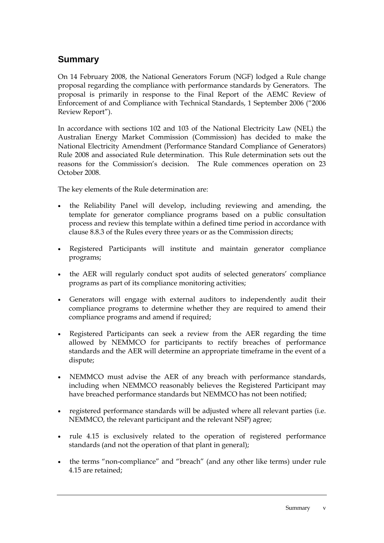# **Summary**

On 14 February 2008, the National Generators Forum (NGF) lodged a Rule change proposal regarding the compliance with performance standards by Generators. The proposal is primarily in response to the Final Report of the AEMC Review of Enforcement of and Compliance with Technical Standards, 1 September 2006 ("2006 Review Report").

In accordance with sections 102 and 103 of the National Electricity Law (NEL) the Australian Energy Market Commission (Commission) has decided to make the National Electricity Amendment (Performance Standard Compliance of Generators) Rule 2008 and associated Rule determination. This Rule determination sets out the reasons for the Commission's decision. The Rule commences operation on 23 October 2008.

The key elements of the Rule determination are:

- the Reliability Panel will develop, including reviewing and amending, the template for generator compliance programs based on a public consultation process and review this template within a defined time period in accordance with clause 8.8.3 of the Rules every three years or as the Commission directs;
- Registered Participants will institute and maintain generator compliance programs;
- the AER will regularly conduct spot audits of selected generators' compliance programs as part of its compliance monitoring activities;
- Generators will engage with external auditors to independently audit their compliance programs to determine whether they are required to amend their compliance programs and amend if required;
- Registered Participants can seek a review from the AER regarding the time allowed by NEMMCO for participants to rectify breaches of performance standards and the AER will determine an appropriate timeframe in the event of a dispute;
- NEMMCO must advise the AER of any breach with performance standards, including when NEMMCO reasonably believes the Registered Participant may have breached performance standards but NEMMCO has not been notified;
- registered performance standards will be adjusted where all relevant parties (i.e. NEMMCO, the relevant participant and the relevant NSP) agree;
- rule 4.15 is exclusively related to the operation of registered performance standards (and not the operation of that plant in general);
- the terms "non-compliance" and "breach" (and any other like terms) under rule 4.15 are retained;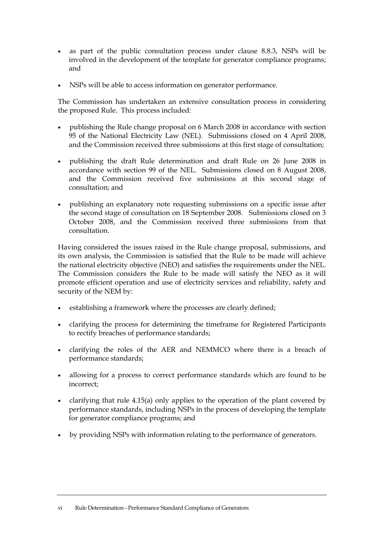- as part of the public consultation process under clause 8.8.3, NSPs will be involved in the development of the template for generator compliance programs; and
- NSPs will be able to access information on generator performance.

The Commission has undertaken an extensive consultation process in considering the proposed Rule. This process included:

- publishing the Rule change proposal on 6 March 2008 in accordance with section 95 of the National Electricity Law (NEL). Submissions closed on 4 April 2008, and the Commission received three submissions at this first stage of consultation;
- publishing the draft Rule determination and draft Rule on 26 June 2008 in accordance with section 99 of the NEL. Submissions closed on 8 August 2008, and the Commission received five submissions at this second stage of consultation; and
- publishing an explanatory note requesting submissions on a specific issue after the second stage of consultation on 18 September 2008. Submissions closed on 3 October 2008, and the Commission received three submissions from that consultation.

Having considered the issues raised in the Rule change proposal, submissions, and its own analysis, the Commission is satisfied that the Rule to be made will achieve the national electricity objective (NEO) and satisfies the requirements under the NEL. The Commission considers the Rule to be made will satisfy the NEO as it will promote efficient operation and use of electricity services and reliability, safety and security of the NEM by:

- establishing a framework where the processes are clearly defined;
- clarifying the process for determining the timeframe for Registered Participants to rectify breaches of performance standards;
- clarifying the roles of the AER and NEMMCO where there is a breach of performance standards;
- allowing for a process to correct performance standards which are found to be incorrect;
- clarifying that rule 4.15(a) only applies to the operation of the plant covered by performance standards, including NSPs in the process of developing the template for generator compliance programs; and
- by providing NSPs with information relating to the performance of generators.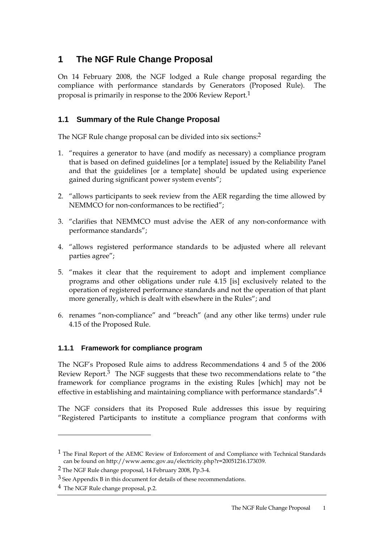# **1 The NGF Rule Change Proposal**

On 14 February 2008, the NGF lodged a Rule change proposal regarding the compliance with performance standards by Generators (Proposed Rule). The proposal is primarily in response to the 2006 Review Report.1

# **1.1 Summary of the Rule Change Proposal**

The NGF Rule change proposal can be divided into six sections:2

- 1. "requires a generator to have (and modify as necessary) a compliance program that is based on defined guidelines [or a template] issued by the Reliability Panel and that the guidelines [or a template] should be updated using experience gained during significant power system events";
- 2. "allows participants to seek review from the AER regarding the time allowed by NEMMCO for non-conformances to be rectified";
- 3. "clarifies that NEMMCO must advise the AER of any non-conformance with performance standards";
- 4. "allows registered performance standards to be adjusted where all relevant parties agree";
- 5. "makes it clear that the requirement to adopt and implement compliance programs and other obligations under rule 4.15 [is] exclusively related to the operation of registered performance standards and not the operation of that plant more generally, which is dealt with elsewhere in the Rules"; and
- 6. renames "non-compliance" and "breach" (and any other like terms) under rule 4.15 of the Proposed Rule.

# **1.1.1 Framework for compliance program**

The NGF's Proposed Rule aims to address Recommendations 4 and 5 of the 2006 Review Report.3 The NGF suggests that these two recommendations relate to "the framework for compliance programs in the existing Rules [which] may not be effective in establishing and maintaining compliance with performance standards".4

The NGF considers that its Proposed Rule addresses this issue by requiring "Registered Participants to institute a compliance program that conforms with

<sup>&</sup>lt;sup>1</sup> The Final Report of the AEMC Review of Enforcement of and Compliance with Technical Standards can be found on http://www.aemc.gov.au/electricity.php?r=20051216.173039.

<sup>2</sup> The NGF Rule change proposal, 14 February 2008, Pp.3-4.

<sup>3</sup> See Appendix B in this document for details of these recommendations.

<sup>4</sup> The NGF Rule change proposal, p.2.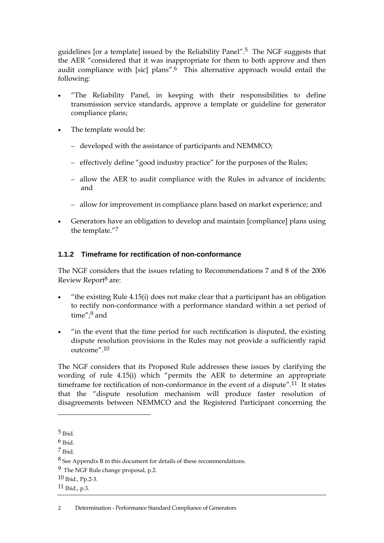guidelines [or a template] issued by the Reliability Panel".5 The NGF suggests that the AER "considered that it was inappropriate for them to both approve and then audit compliance with [sic] plans".<sup>6</sup> This alternative approach would entail the following:

- "The Reliability Panel, in keeping with their responsibilities to define transmission service standards, approve a template or guideline for generator compliance plans;
- The template would be:
	- developed with the assistance of participants and NEMMCO;
	- effectively define "good industry practice" for the purposes of the Rules;
	- allow the AER to audit compliance with the Rules in advance of incidents; and
	- allow for improvement in compliance plans based on market experience; and
- Generators have an obligation to develop and maintain [compliance] plans using the template."7

#### **1.1.2 Timeframe for rectification of non-conformance**

The NGF considers that the issues relating to Recommendations 7 and 8 of the 2006 Review Report<sup>8</sup> are:

- "the existing Rule 4.15(i) does not make clear that a participant has an obligation to rectify non-conformance with a performance standard within a set period of time";9 and
- "in the event that the time period for such rectification is disputed, the existing dispute resolution provisions in the Rules may not provide a sufficiently rapid outcome".10

The NGF considers that its Proposed Rule addresses these issues by clarifying the wording of rule 4.15(i) which "permits the AER to determine an appropriate timeframe for rectification of non-conformance in the event of a dispute".11 It states that the "dispute resolution mechanism will produce faster resolution of disagreements between NEMMCO and the Registered Participant concerning the

<sup>5</sup> Ibid.

 $6$  Ibid.

<sup>7</sup> Ibid.

<sup>8</sup> See Appendix B in this document for details of these recommendations.

<sup>9</sup> The NGF Rule change proposal, p.2.

<sup>10</sup> Ibid., Pp.2-3.

<sup>11</sup> Ibid., p.3.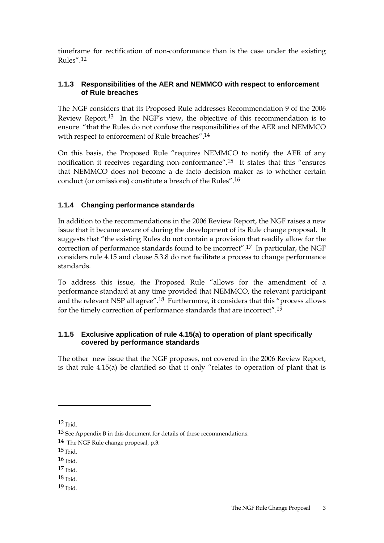timeframe for rectification of non-conformance than is the case under the existing Rules".12

#### **1.1.3 Responsibilities of the AER and NEMMCO with respect to enforcement of Rule breaches**

The NGF considers that its Proposed Rule addresses Recommendation 9 of the 2006 Review Report.13 In the NGF's view, the objective of this recommendation is to ensure "that the Rules do not confuse the responsibilities of the AER and NEMMCO with respect to enforcement of Rule breaches".<sup>14</sup>

On this basis, the Proposed Rule "requires NEMMCO to notify the AER of any notification it receives regarding non-conformance".15 It states that this "ensures that NEMMCO does not become a de facto decision maker as to whether certain conduct (or omissions) constitute a breach of the Rules".16

# **1.1.4 Changing performance standards**

In addition to the recommendations in the 2006 Review Report, the NGF raises a new issue that it became aware of during the development of its Rule change proposal. It suggests that "the existing Rules do not contain a provision that readily allow for the correction of performance standards found to be incorrect".17 In particular, the NGF considers rule 4.15 and clause 5.3.8 do not facilitate a process to change performance standards.

To address this issue, the Proposed Rule "allows for the amendment of a performance standard at any time provided that NEMMCO, the relevant participant and the relevant NSP all agree".18 Furthermore, it considers that this "process allows for the timely correction of performance standards that are incorrect".19

#### **1.1.5 Exclusive application of rule 4.15(a) to operation of plant specifically covered by performance standards**

The other new issue that the NGF proposes, not covered in the 2006 Review Report, is that rule 4.15(a) be clarified so that it only "relates to operation of plant that is

 $12$  Ibid.

 $\overline{a}$ 

 $19$  Ibid.

<sup>13</sup> See Appendix B in this document for details of these recommendations.

<sup>14</sup> The NGF Rule change proposal, p.3.

 $15$  Ibid.

 $16$  Ibid.

 $17$  Ibid.

 $18$  Ibid.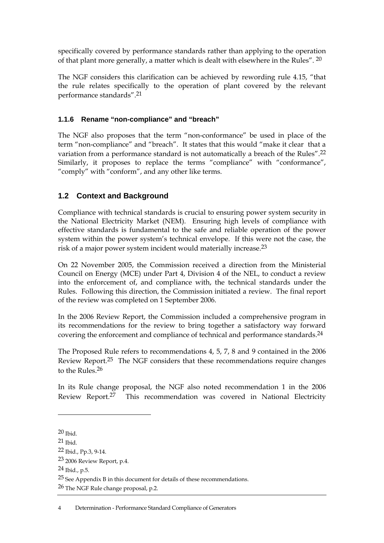specifically covered by performance standards rather than applying to the operation of that plant more generally, a matter which is dealt with elsewhere in the Rules". 20

The NGF considers this clarification can be achieved by rewording rule 4.15, "that the rule relates specifically to the operation of plant covered by the relevant performance standards".21

# **1.1.6 Rename "non-compliance" and "breach"**

The NGF also proposes that the term "non-conformance" be used in place of the term "non-compliance" and "breach". It states that this would "make it clear that a variation from a performance standard is not automatically a breach of the Rules".22 Similarly, it proposes to replace the terms "compliance" with "conformance", "comply" with "conform", and any other like terms.

# **1.2 Context and Background**

Compliance with technical standards is crucial to ensuring power system security in the National Electricity Market (NEM). Ensuring high levels of compliance with effective standards is fundamental to the safe and reliable operation of the power system within the power system's technical envelope. If this were not the case, the risk of a major power system incident would materially increase.23

On 22 November 2005, the Commission received a direction from the Ministerial Council on Energy (MCE) under Part 4, Division 4 of the NEL, to conduct a review into the enforcement of, and compliance with, the technical standards under the Rules. Following this direction, the Commission initiated a review. The final report of the review was completed on 1 September 2006.

In the 2006 Review Report, the Commission included a comprehensive program in its recommendations for the review to bring together a satisfactory way forward covering the enforcement and compliance of technical and performance standards.24

The Proposed Rule refers to recommendations 4, 5, 7, 8 and 9 contained in the 2006 Review Report.25 The NGF considers that these recommendations require changes to the Rules<sup>26</sup>

In its Rule change proposal, the NGF also noted recommendation 1 in the 2006 Review Report.27 This recommendation was covered in National Electricity

 $20$  Ibid.

<sup>21</sup> Ibid.

<sup>22</sup> Ibid., Pp.3, 9-14.

<sup>23 2006</sup> Review Report, p.4.

<sup>24</sup> Ibid., p.5.

<sup>25</sup> See Appendix B in this document for details of these recommendations.

<sup>26</sup> The NGF Rule change proposal, p.2.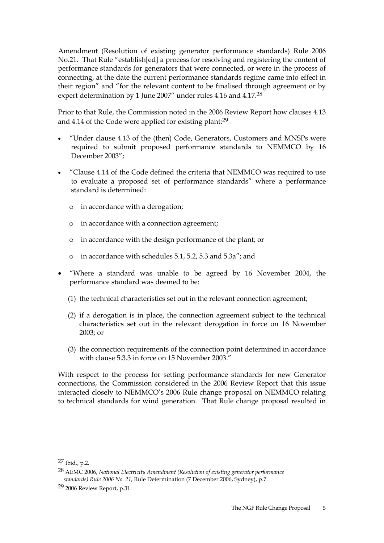Amendment (Resolution of existing generator performance standards) Rule 2006 No.21. That Rule "establish[ed] a process for resolving and registering the content of performance standards for generators that were connected, or were in the process of connecting, at the date the current performance standards regime came into effect in their region" and "for the relevant content to be finalised through agreement or by expert determination by 1 June 2007" under rules 4.16 and 4.17.28

Prior to that Rule, the Commission noted in the 2006 Review Report how clauses 4.13 and 4.14 of the Code were applied for existing plant:29

- "Under clause 4.13 of the (then) Code, Generators, Customers and MNSPs were required to submit proposed performance standards to NEMMCO by 16 December 2003";
- "Clause 4.14 of the Code defined the criteria that NEMMCO was required to use to evaluate a proposed set of performance standards" where a performance standard is determined:
	- o in accordance with a derogation;
	- o in accordance with a connection agreement;
	- o in accordance with the design performance of the plant; or
	- o in accordance with schedules 5.1, 5.2, 5.3 and 5.3a"; and
- "Where a standard was unable to be agreed by 16 November 2004, the performance standard was deemed to be:
	- (1) the technical characteristics set out in the relevant connection agreement;
	- (2) if a derogation is in place, the connection agreement subject to the technical characteristics set out in the relevant derogation in force on 16 November 2003; or
	- (3) the connection requirements of the connection point determined in accordance with clause 5.3.3 in force on 15 November 2003."

With respect to the process for setting performance standards for new Generator connections, the Commission considered in the 2006 Review Report that this issue interacted closely to NEMMCO's 2006 Rule change proposal on NEMMCO relating to technical standards for wind generation. That Rule change proposal resulted in

<sup>27</sup> Ibid., p.2.

<sup>28</sup> AEMC 2006, *National Electricity Amendment (Resolution of existing generator performance standards) Rule 2006 No. 21*, Rule Determination (7 December 2006, Sydney), p.7.

<sup>29 2006</sup> Review Report, p.31.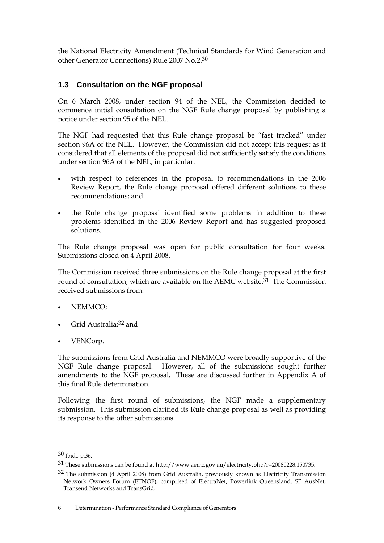the National Electricity Amendment (Technical Standards for Wind Generation and other Generator Connections) Rule 2007 No.2.30

# **1.3 Consultation on the NGF proposal**

On 6 March 2008, under section 94 of the NEL, the Commission decided to commence initial consultation on the NGF Rule change proposal by publishing a notice under section 95 of the NEL.

The NGF had requested that this Rule change proposal be "fast tracked" under section 96A of the NEL. However, the Commission did not accept this request as it considered that all elements of the proposal did not sufficiently satisfy the conditions under section 96A of the NEL, in particular:

- with respect to references in the proposal to recommendations in the 2006 Review Report, the Rule change proposal offered different solutions to these recommendations; and
- the Rule change proposal identified some problems in addition to these problems identified in the 2006 Review Report and has suggested proposed solutions.

The Rule change proposal was open for public consultation for four weeks. Submissions closed on 4 April 2008.

The Commission received three submissions on the Rule change proposal at the first round of consultation, which are available on the AEMC website.31 The Commission received submissions from:

- NEMMCO;
- Grid Australia;32 and
- VENCorp.

The submissions from Grid Australia and NEMMCO were broadly supportive of the NGF Rule change proposal. However, all of the submissions sought further amendments to the NGF proposal. These are discussed further in Appendix A of this final Rule determination.

Following the first round of submissions, the NGF made a supplementary submission. This submission clarified its Rule change proposal as well as providing its response to the other submissions.

<sup>30</sup> Ibid., p.36.

<sup>31</sup> These submissions can be found at http://www.aemc.gov.au/electricity.php?r=20080228.150735.

<sup>32</sup> The submission (4 April 2008) from Grid Australia, previously known as Electricity Transmission Network Owners Forum (ETNOF), comprised of ElectraNet, Powerlink Queensland, SP AusNet, Transend Networks and TransGrid.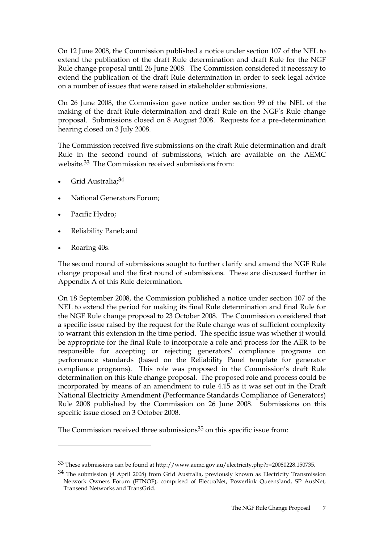On 12 June 2008, the Commission published a notice under section 107 of the NEL to extend the publication of the draft Rule determination and draft Rule for the NGF Rule change proposal until 26 June 2008. The Commission considered it necessary to extend the publication of the draft Rule determination in order to seek legal advice on a number of issues that were raised in stakeholder submissions.

On 26 June 2008, the Commission gave notice under section 99 of the NEL of the making of the draft Rule determination and draft Rule on the NGF's Rule change proposal. Submissions closed on 8 August 2008. Requests for a pre-determination hearing closed on 3 July 2008.

The Commission received five submissions on the draft Rule determination and draft Rule in the second round of submissions, which are available on the AEMC website.33 The Commission received submissions from:

- Grid Australia;<sup>34</sup>
- National Generators Forum;
- Pacific Hydro;
- Reliability Panel; and
- Roaring 40s.

 $\overline{a}$ 

The second round of submissions sought to further clarify and amend the NGF Rule change proposal and the first round of submissions. These are discussed further in Appendix A of this Rule determination.

On 18 September 2008, the Commission published a notice under section 107 of the NEL to extend the period for making its final Rule determination and final Rule for the NGF Rule change proposal to 23 October 2008. The Commission considered that a specific issue raised by the request for the Rule change was of sufficient complexity to warrant this extension in the time period. The specific issue was whether it would be appropriate for the final Rule to incorporate a role and process for the AER to be responsible for accepting or rejecting generators' compliance programs on performance standards (based on the Reliability Panel template for generator compliance programs). This role was proposed in the Commission's draft Rule determination on this Rule change proposal. The proposed role and process could be incorporated by means of an amendment to rule 4.15 as it was set out in the Draft National Electricity Amendment (Performance Standards Compliance of Generators) Rule 2008 published by the Commission on 26 June 2008. Submissions on this specific issue closed on 3 October 2008.

The Commission received three submissions<sup>35</sup> on this specific issue from:

<sup>33</sup> These submissions can be found at http://www.aemc.gov.au/electricity.php?r=20080228.150735.

<sup>34</sup> The submission (4 April 2008) from Grid Australia, previously known as Electricity Transmission Network Owners Forum (ETNOF), comprised of ElectraNet, Powerlink Queensland, SP AusNet, Transend Networks and TransGrid.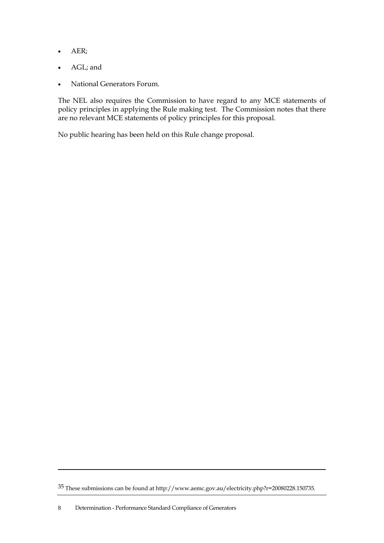- AER;
- AGL; and
- National Generators Forum.

The NEL also requires the Commission to have regard to any MCE statements of policy principles in applying the Rule making test. The Commission notes that there are no relevant MCE statements of policy principles for this proposal.

No public hearing has been held on this Rule change proposal.

<sup>35</sup> These submissions can be found at http://www.aemc.gov.au/electricity.php?r=20080228.150735.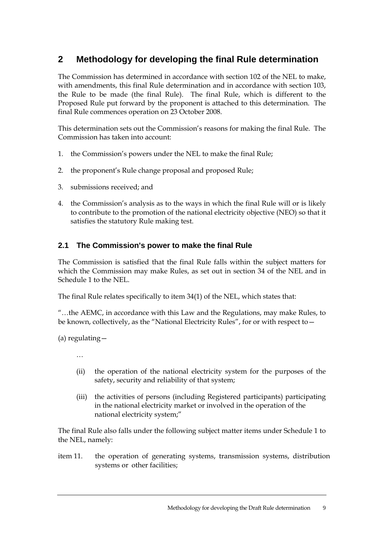# **2 Methodology for developing the final Rule determination**

The Commission has determined in accordance with section 102 of the NEL to make, with amendments, this final Rule determination and in accordance with section 103, the Rule to be made (the final Rule). The final Rule, which is different to the Proposed Rule put forward by the proponent is attached to this determination. The final Rule commences operation on 23 October 2008.

This determination sets out the Commission's reasons for making the final Rule. The Commission has taken into account:

- 1. the Commission's powers under the NEL to make the final Rule;
- 2. the proponent's Rule change proposal and proposed Rule;
- 3. submissions received; and
- 4. the Commission's analysis as to the ways in which the final Rule will or is likely to contribute to the promotion of the national electricity objective (NEO) so that it satisfies the statutory Rule making test.

# **2.1 The Commission's power to make the final Rule**

The Commission is satisfied that the final Rule falls within the subject matters for which the Commission may make Rules, as set out in section 34 of the NEL and in Schedule 1 to the NEL.

The final Rule relates specifically to item 34(1) of the NEL, which states that:

"…the AEMC, in accordance with this Law and the Regulations, may make Rules, to be known, collectively, as the "National Electricity Rules", for or with respect to—

(a) regulating—

…

- (ii) the operation of the national electricity system for the purposes of the safety, security and reliability of that system;
- (iii) the activities of persons (including Registered participants) participating in the national electricity market or involved in the operation of the national electricity system;"

The final Rule also falls under the following subject matter items under Schedule 1 to the NEL, namely:

item 11. the operation of generating systems, transmission systems, distribution systems or other facilities;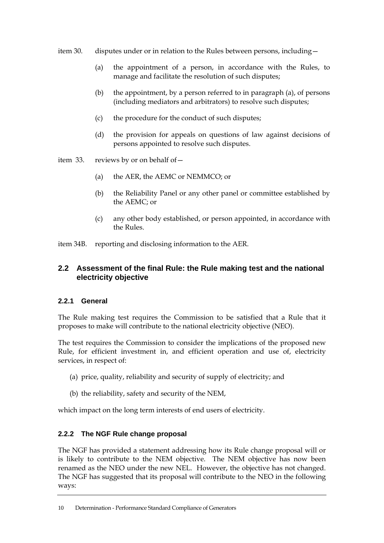- item 30. disputes under or in relation to the Rules between persons, including—
	- (a) the appointment of a person, in accordance with the Rules, to manage and facilitate the resolution of such disputes;
	- (b) the appointment, by a person referred to in paragraph (a), of persons (including mediators and arbitrators) to resolve such disputes;
	- (c) the procedure for the conduct of such disputes;
	- (d) the provision for appeals on questions of law against decisions of persons appointed to resolve such disputes.

item 33. reviews by or on behalf of—

- (a) the AER, the AEMC or NEMMCO; or
- (b) the Reliability Panel or any other panel or committee established by the AEMC; or
- (c) any other body established, or person appointed, in accordance with the Rules.

item 34B. reporting and disclosing information to the AER.

# **2.2 Assessment of the final Rule: the Rule making test and the national electricity objective**

#### **2.2.1 General**

The Rule making test requires the Commission to be satisfied that a Rule that it proposes to make will contribute to the national electricity objective (NEO).

The test requires the Commission to consider the implications of the proposed new Rule, for efficient investment in, and efficient operation and use of, electricity services, in respect of:

- (a) price, quality, reliability and security of supply of electricity; and
- (b) the reliability, safety and security of the NEM,

which impact on the long term interests of end users of electricity.

#### **2.2.2 The NGF Rule change proposal**

The NGF has provided a statement addressing how its Rule change proposal will or is likely to contribute to the NEM objective. The NEM objective has now been renamed as the NEO under the new NEL. However, the objective has not changed. The NGF has suggested that its proposal will contribute to the NEO in the following ways: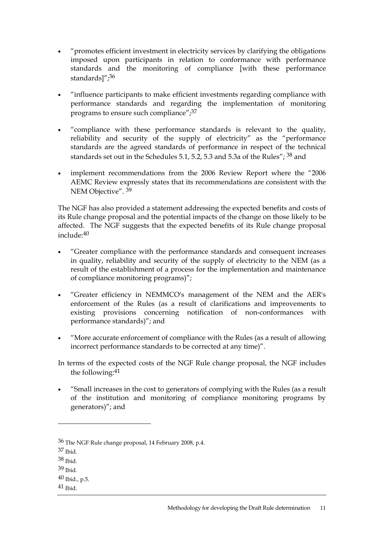- "promotes efficient investment in electricity services by clarifying the obligations imposed upon participants in relation to conformance with performance standards and the monitoring of compliance [with these performance standards]";36
- "influence participants to make efficient investments regarding compliance with performance standards and regarding the implementation of monitoring programs to ensure such compliance";37
- "compliance with these performance standards is relevant to the quality, reliability and security of the supply of electricity" as the "performance standards are the agreed standards of performance in respect of the technical standards set out in the Schedules 5.1, 5.2, 5.3 and 5.3a of the Rules"; 38 and
- implement recommendations from the 2006 Review Report where the "2006 AEMC Review expressly states that its recommendations are consistent with the NEM Objective". 39

The NGF has also provided a statement addressing the expected benefits and costs of its Rule change proposal and the potential impacts of the change on those likely to be affected. The NGF suggests that the expected benefits of its Rule change proposal include:40

- "Greater compliance with the performance standards and consequent increases in quality, reliability and security of the supply of electricity to the NEM (as a result of the establishment of a process for the implementation and maintenance of compliance monitoring programs)";
- "Greater efficiency in NEMMCO's management of the NEM and the AER's enforcement of the Rules (as a result of clarifications and improvements to existing provisions concerning notification of non-conformances with performance standards)"; and
- "More accurate enforcement of compliance with the Rules (as a result of allowing incorrect performance standards to be corrected at any time)".
- In terms of the expected costs of the NGF Rule change proposal, the NGF includes the following:41
- "Small increases in the cost to generators of complying with the Rules (as a result of the institution and monitoring of compliance monitoring programs by generators)"; and

37 Ibid.

- 38 Ibid.
- 39 Ibid.
- 40 Ibid., p.5.
- $41$  Ibid.

<sup>36</sup> The NGF Rule change proposal, 14 February 2008, p.4.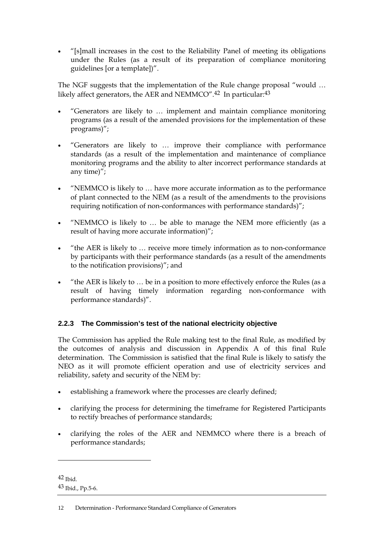• "[s]mall increases in the cost to the Reliability Panel of meeting its obligations under the Rules (as a result of its preparation of compliance monitoring guidelines [or a template])".

The NGF suggests that the implementation of the Rule change proposal "would … likely affect generators, the AER and NEMMCO".<sup>42</sup> In particular:<sup>43</sup>

- "Generators are likely to … implement and maintain compliance monitoring programs (as a result of the amended provisions for the implementation of these programs)";
- "Generators are likely to … improve their compliance with performance standards (as a result of the implementation and maintenance of compliance monitoring programs and the ability to alter incorrect performance standards at any time)";
- "NEMMCO is likely to … have more accurate information as to the performance of plant connected to the NEM (as a result of the amendments to the provisions requiring notification of non-conformances with performance standards)";
- "NEMMCO is likely to … be able to manage the NEM more efficiently (as a result of having more accurate information)";
- "the AER is likely to … receive more timely information as to non-conformance by participants with their performance standards (as a result of the amendments to the notification provisions)"; and
- "the AER is likely to  $\dots$  be in a position to more effectively enforce the Rules (as a result of having timely information regarding non-conformance with performance standards)".

# **2.2.3 The Commission's test of the national electricity objective**

The Commission has applied the Rule making test to the final Rule, as modified by the outcomes of analysis and discussion in Appendix A of this final Rule determination. The Commission is satisfied that the final Rule is likely to satisfy the NEO as it will promote efficient operation and use of electricity services and reliability, safety and security of the NEM by:

- establishing a framework where the processes are clearly defined;
- clarifying the process for determining the timeframe for Registered Participants to rectify breaches of performance standards;
- clarifying the roles of the AER and NEMMCO where there is a breach of performance standards;

 $42$  Ibid. 43 Ibid., Pp.5-6.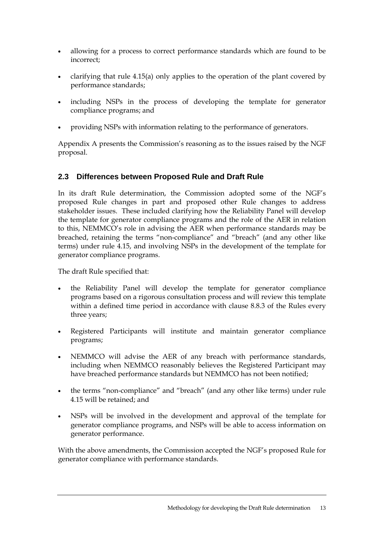- allowing for a process to correct performance standards which are found to be incorrect;
- clarifying that rule 4.15(a) only applies to the operation of the plant covered by performance standards;
- including NSPs in the process of developing the template for generator compliance programs; and
- providing NSPs with information relating to the performance of generators.

Appendix A presents the Commission's reasoning as to the issues raised by the NGF proposal.

# **2.3 Differences between Proposed Rule and Draft Rule**

In its draft Rule determination, the Commission adopted some of the NGF's proposed Rule changes in part and proposed other Rule changes to address stakeholder issues. These included clarifying how the Reliability Panel will develop the template for generator compliance programs and the role of the AER in relation to this, NEMMCO's role in advising the AER when performance standards may be breached, retaining the terms "non-compliance" and "breach" (and any other like terms) under rule 4.15, and involving NSPs in the development of the template for generator compliance programs.

The draft Rule specified that:

- the Reliability Panel will develop the template for generator compliance programs based on a rigorous consultation process and will review this template within a defined time period in accordance with clause 8.8.3 of the Rules every three years;
- Registered Participants will institute and maintain generator compliance programs;
- NEMMCO will advise the AER of any breach with performance standards, including when NEMMCO reasonably believes the Registered Participant may have breached performance standards but NEMMCO has not been notified;
- the terms "non-compliance" and "breach" (and any other like terms) under rule 4.15 will be retained; and
- NSPs will be involved in the development and approval of the template for generator compliance programs, and NSPs will be able to access information on generator performance.

With the above amendments, the Commission accepted the NGF's proposed Rule for generator compliance with performance standards.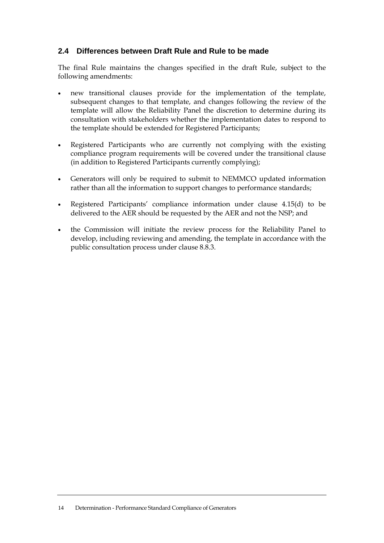# **2.4 Differences between Draft Rule and Rule to be made**

The final Rule maintains the changes specified in the draft Rule, subject to the following amendments:

- new transitional clauses provide for the implementation of the template, subsequent changes to that template, and changes following the review of the template will allow the Reliability Panel the discretion to determine during its consultation with stakeholders whether the implementation dates to respond to the template should be extended for Registered Participants;
- Registered Participants who are currently not complying with the existing compliance program requirements will be covered under the transitional clause (in addition to Registered Participants currently complying);
- Generators will only be required to submit to NEMMCO updated information rather than all the information to support changes to performance standards;
- Registered Participants' compliance information under clause 4.15(d) to be delivered to the AER should be requested by the AER and not the NSP; and
- the Commission will initiate the review process for the Reliability Panel to develop, including reviewing and amending, the template in accordance with the public consultation process under clause 8.8.3.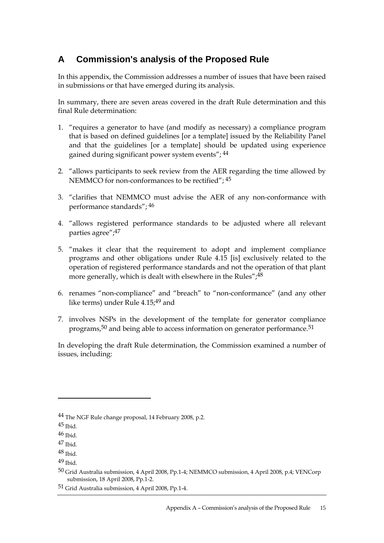# **A Commission's analysis of the Proposed Rule**

In this appendix, the Commission addresses a number of issues that have been raised in submissions or that have emerged during its analysis.

In summary, there are seven areas covered in the draft Rule determination and this final Rule determination:

- 1. "requires a generator to have (and modify as necessary) a compliance program that is based on defined guidelines [or a template] issued by the Reliability Panel and that the guidelines [or a template] should be updated using experience gained during significant power system events"; 44
- 2. "allows participants to seek review from the AER regarding the time allowed by NEMMCO for non-conformances to be rectified"; 45
- 3. "clarifies that NEMMCO must advise the AER of any non-conformance with performance standards"; 46
- 4. "allows registered performance standards to be adjusted where all relevant parties agree";47
- 5. "makes it clear that the requirement to adopt and implement compliance programs and other obligations under Rule 4.15 [is] exclusively related to the operation of registered performance standards and not the operation of that plant more generally, which is dealt with elsewhere in the Rules"; $48$
- 6. renames "non-compliance" and "breach" to "non-conformance" (and any other like terms) under Rule 4.15;49 and
- 7. involves NSPs in the development of the template for generator compliance programs,50 and being able to access information on generator performance.51

In developing the draft Rule determination, the Commission examined a number of issues, including:

<sup>44</sup> The NGF Rule change proposal, 14 February 2008, p.2.

 $45$  Ibid.

 $46$  Ibid.

 $47$  Ibid.

<sup>48</sup> Ibid.

 $49$  Ibid.

<sup>50</sup> Grid Australia submission, 4 April 2008, Pp.1-4; NEMMCO submission, 4 April 2008, p.4; VENCorp submission, 18 April 2008, Pp.1-2.

<sup>51</sup> Grid Australia submission, 4 April 2008, Pp.1-4.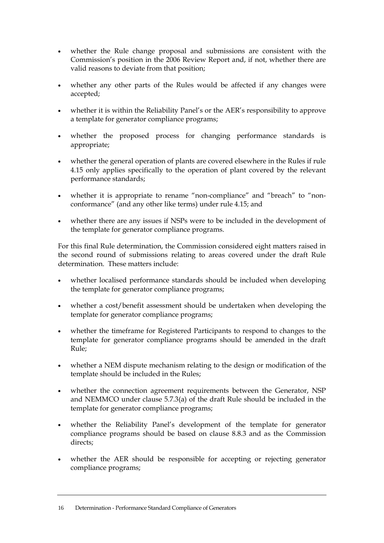- whether the Rule change proposal and submissions are consistent with the Commission's position in the 2006 Review Report and, if not, whether there are valid reasons to deviate from that position;
- whether any other parts of the Rules would be affected if any changes were accepted;
- whether it is within the Reliability Panel's or the AER's responsibility to approve a template for generator compliance programs;
- whether the proposed process for changing performance standards is appropriate;
- whether the general operation of plants are covered elsewhere in the Rules if rule 4.15 only applies specifically to the operation of plant covered by the relevant performance standards;
- whether it is appropriate to rename "non-compliance" and "breach" to "nonconformance" (and any other like terms) under rule 4.15; and
- whether there are any issues if NSPs were to be included in the development of the template for generator compliance programs.

For this final Rule determination, the Commission considered eight matters raised in the second round of submissions relating to areas covered under the draft Rule determination. These matters include:

- whether localised performance standards should be included when developing the template for generator compliance programs;
- whether a cost/benefit assessment should be undertaken when developing the template for generator compliance programs;
- whether the timeframe for Registered Participants to respond to changes to the template for generator compliance programs should be amended in the draft Rule;
- whether a NEM dispute mechanism relating to the design or modification of the template should be included in the Rules;
- whether the connection agreement requirements between the Generator, NSP and NEMMCO under clause 5.7.3(a) of the draft Rule should be included in the template for generator compliance programs;
- whether the Reliability Panel's development of the template for generator compliance programs should be based on clause 8.8.3 and as the Commission directs;
- whether the AER should be responsible for accepting or rejecting generator compliance programs;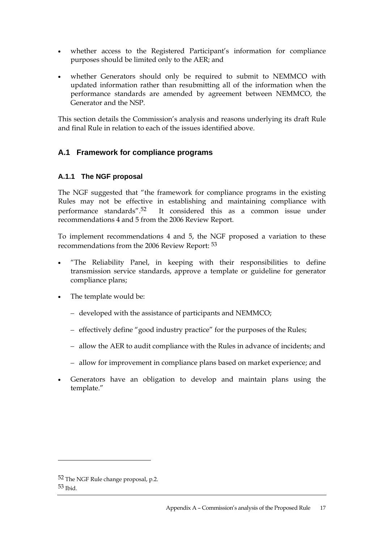- whether access to the Registered Participant's information for compliance purposes should be limited only to the AER; and
- whether Generators should only be required to submit to NEMMCO with updated information rather than resubmitting all of the information when the performance standards are amended by agreement between NEMMCO, the Generator and the NSP.

This section details the Commission's analysis and reasons underlying its draft Rule and final Rule in relation to each of the issues identified above.

# **A.1 Framework for compliance programs**

# **A.1.1 The NGF proposal**

The NGF suggested that "the framework for compliance programs in the existing Rules may not be effective in establishing and maintaining compliance with performance standards".52 It considered this as a common issue under recommendations 4 and 5 from the 2006 Review Report.

To implement recommendations 4 and 5, the NGF proposed a variation to these recommendations from the 2006 Review Report: 53

- "The Reliability Panel, in keeping with their responsibilities to define transmission service standards, approve a template or guideline for generator compliance plans;
- The template would be:
	- developed with the assistance of participants and NEMMCO;
	- effectively define "good industry practice" for the purposes of the Rules;
	- allow the AER to audit compliance with the Rules in advance of incidents; and
	- allow for improvement in compliance plans based on market experience; and
- Generators have an obligation to develop and maintain plans using the template."

<sup>52</sup> The NGF Rule change proposal, p.2. 53 Ibid.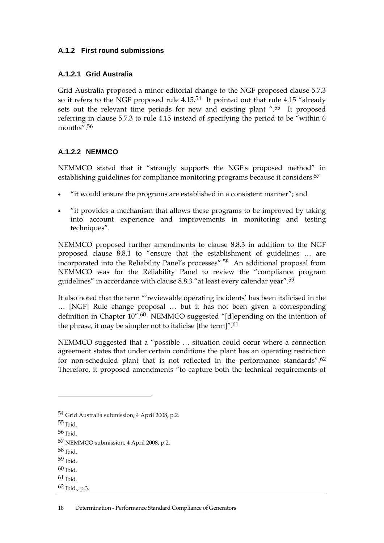#### **A.1.2 First round submissions**

#### **A.1.2.1 Grid Australia**

Grid Australia proposed a minor editorial change to the NGF proposed clause 5.7.3 so it refers to the NGF proposed rule 4.15.54 It pointed out that rule 4.15 "already sets out the relevant time periods for new and existing plant ".55 It proposed referring in clause 5.7.3 to rule 4.15 instead of specifying the period to be "within 6 months" 56

#### **A.1.2.2 NEMMCO**

NEMMCO stated that it "strongly supports the NGF's proposed method" in establishing guidelines for compliance monitoring programs because it considers:<sup>57</sup>

- "it would ensure the programs are established in a consistent manner"; and
- "it provides a mechanism that allows these programs to be improved by taking into account experience and improvements in monitoring and testing techniques".

NEMMCO proposed further amendments to clause 8.8.3 in addition to the NGF proposed clause 8.8.1 to "ensure that the establishment of guidelines … are incorporated into the Reliability Panel's processes".58 An additional proposal from NEMMCO was for the Reliability Panel to review the "compliance program guidelines" in accordance with clause 8.8.3 "at least every calendar year".59

It also noted that the term "'reviewable operating incidents' has been italicised in the … [NGF] Rule change proposal … but it has not been given a corresponding definition in Chapter 10".60 NEMMCO suggested "[d]epending on the intention of the phrase, it may be simpler not to italicise [the term]".<sup>61</sup>

NEMMCO suggested that a "possible … situation could occur where a connection agreement states that under certain conditions the plant has an operating restriction for non-scheduled plant that is not reflected in the performance standards".62 Therefore, it proposed amendments "to capture both the technical requirements of

54 Grid Australia submission, 4 April 2008, p.2.  $55$  Ibid.  $56$  Ibid. 57 NEMMCO submission, 4 April 2008, p 2. 58 Ibid. 59 Ibid.  $60$  Ibid.  $61$  Ibid. 62 Ibid., p.3.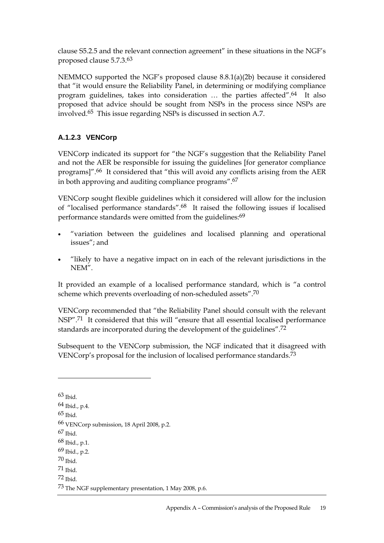clause S5.2.5 and the relevant connection agreement" in these situations in the NGF's proposed clause 5.7.3.63

NEMMCO supported the NGF's proposed clause 8.8.1(a)(2b) because it considered that "it would ensure the Reliability Panel, in determining or modifying compliance program guidelines, takes into consideration … the parties affected".64 It also proposed that advice should be sought from NSPs in the process since NSPs are involved.65 This issue regarding NSPs is discussed in section A.7.

# **A.1.2.3 VENCorp**

 $\overline{a}$ 

VENCorp indicated its support for "the NGF's suggestion that the Reliability Panel and not the AER be responsible for issuing the guidelines [for generator compliance programs]".66 It considered that "this will avoid any conflicts arising from the AER in both approving and auditing compliance programs".67

VENCorp sought flexible guidelines which it considered will allow for the inclusion of "localised performance standards".68 It raised the following issues if localised performance standards were omitted from the guidelines:<sup>69</sup>

- "variation between the guidelines and localised planning and operational issues"; and
- "likely to have a negative impact on in each of the relevant jurisdictions in the NEM".

It provided an example of a localised performance standard, which is "a control scheme which prevents overloading of non-scheduled assets".70

VENCorp recommended that "the Reliability Panel should consult with the relevant NSP".71 It considered that this will "ensure that all essential localised performance standards are incorporated during the development of the guidelines".72

Subsequent to the VENCorp submission, the NGF indicated that it disagreed with VENCorp's proposal for the inclusion of localised performance standards.73

63 Ibid. 64 Ibid., p.4.  $65$  Ibid. 66 VENCorp submission, 18 April 2008, p.2.  $67$  Ibid. 68 Ibid., p.1. 69 Ibid., p.2. 70 Ibid. 71 Ibid. 72 Ibid. 73 The NGF supplementary presentation, 1 May 2008, p.6.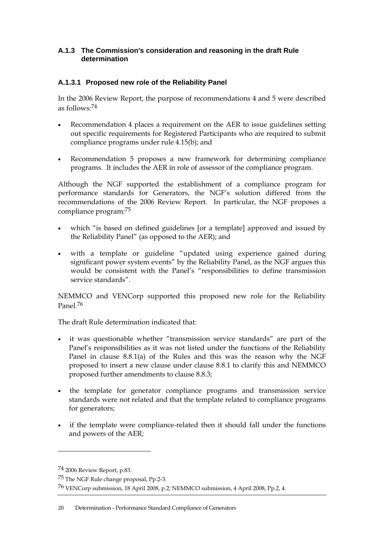#### **A.1.3 The Commission's consideration and reasoning in the draft Rule determination**

### **A.1.3.1 Proposed new role of the Reliability Panel**

In the 2006 Review Report, the purpose of recommendations 4 and 5 were described as follows:74

- Recommendation 4 places a requirement on the AER to issue guidelines setting out specific requirements for Registered Participants who are required to submit compliance programs under rule 4.15(b); and
- Recommendation 5 proposes a new framework for determining compliance programs. It includes the AER in role of assessor of the compliance program.

Although the NGF supported the establishment of a compliance program for performance standards for Generators, the NGF's solution differed from the recommendations of the 2006 Review Report. In particular, the NGF proposes a compliance program:75

- which "is based on defined guidelines [or a template] approved and issued by the Reliability Panel" (as opposed to the AER); and
- with a template or guideline "updated using experience gained during significant power system events" by the Reliability Panel, as the NGF argues this would be consistent with the Panel's "responsibilities to define transmission service standards".

NEMMCO and VENCorp supported this proposed new role for the Reliability Panel<sup>76</sup>

The draft Rule determination indicated that:

- it was questionable whether "transmission service standards" are part of the Panel's responsibilities as it was not listed under the functions of the Reliability Panel in clause 8.8.1(a) of the Rules and this was the reason why the NGF proposed to insert a new clause under clause 8.8.1 to clarify this and NEMMCO proposed further amendments to clause 8.8.3;
- the template for generator compliance programs and transmission service standards were not related and that the template related to compliance programs for generators;
- if the template were compliance-related then it should fall under the functions and powers of the AER;

<sup>74 2006</sup> Review Report, p.83.

<sup>75</sup> The NGF Rule change proposal, Pp.2-3.

<sup>76</sup> VENCorp submission, 18 April 2008, p.2; NEMMCO submission, 4 April 2008, Pp.2, 4.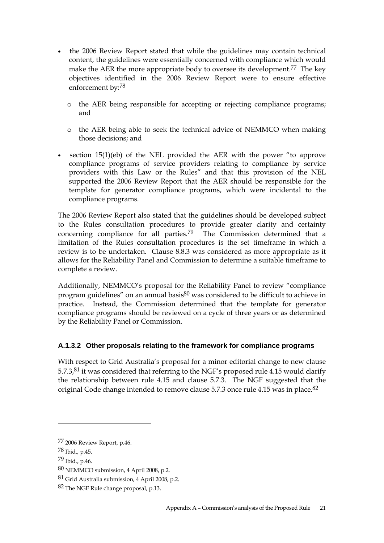- the 2006 Review Report stated that while the guidelines may contain technical content, the guidelines were essentially concerned with compliance which would make the AER the more appropriate body to oversee its development.<sup>77</sup> The key objectives identified in the 2006 Review Report were to ensure effective enforcement by:78
	- o the AER being responsible for accepting or rejecting compliance programs; and
	- o the AER being able to seek the technical advice of NEMMCO when making those decisions; and
- section 15(1)(eb) of the NEL provided the AER with the power "to approve compliance programs of service providers relating to compliance by service providers with this Law or the Rules" and that this provision of the NEL supported the 2006 Review Report that the AER should be responsible for the template for generator compliance programs, which were incidental to the compliance programs.

The 2006 Review Report also stated that the guidelines should be developed subject to the Rules consultation procedures to provide greater clarity and certainty concerning compliance for all parties.79 The Commission determined that a limitation of the Rules consultation procedures is the set timeframe in which a review is to be undertaken. Clause 8.8.3 was considered as more appropriate as it allows for the Reliability Panel and Commission to determine a suitable timeframe to complete a review.

Additionally, NEMMCO's proposal for the Reliability Panel to review "compliance program guidelines" on an annual basis80 was considered to be difficult to achieve in practice. Instead, the Commission determined that the template for generator compliance programs should be reviewed on a cycle of three years or as determined by the Reliability Panel or Commission.

#### **A.1.3.2 Other proposals relating to the framework for compliance programs**

With respect to Grid Australia's proposal for a minor editorial change to new clause  $5.7.3<sup>81</sup>$  it was considered that referring to the NGF's proposed rule 4.15 would clarify the relationship between rule 4.15 and clause 5.7.3. The NGF suggested that the original Code change intended to remove clause 5.7.3 once rule 4.15 was in place.<sup>82</sup>

<sup>77 2006</sup> Review Report, p.46.

<sup>78</sup> Ibid., p.45.

<sup>79</sup> Ibid., p.46.

<sup>80</sup> NEMMCO submission, 4 April 2008, p.2.

<sup>81</sup> Grid Australia submission, 4 April 2008, p.2.

<sup>82</sup> The NGF Rule change proposal, p.13.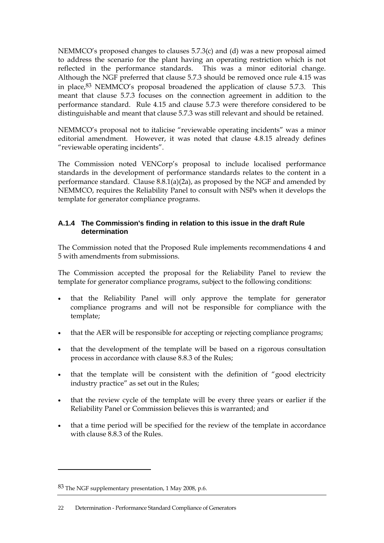NEMMCO's proposed changes to clauses 5.7.3(c) and (d) was a new proposal aimed to address the scenario for the plant having an operating restriction which is not reflected in the performance standards. This was a minor editorial change. Although the NGF preferred that clause 5.7.3 should be removed once rule 4.15 was in place,  $83$  NEMMCO's proposal broadened the application of clause 5.7.3. This meant that clause 5.7.3 focuses on the connection agreement in addition to the performance standard. Rule 4.15 and clause 5.7.3 were therefore considered to be distinguishable and meant that clause 5.7.3 was still relevant and should be retained.

NEMMCO's proposal not to italicise "reviewable operating incidents" was a minor editorial amendment. However, it was noted that clause 4.8.15 already defines "reviewable operating incidents".

The Commission noted VENCorp's proposal to include localised performance standards in the development of performance standards relates to the content in a performance standard. Clause  $8.8.1(a)(2a)$ , as proposed by the NGF and amended by NEMMCO, requires the Reliability Panel to consult with NSPs when it develops the template for generator compliance programs.

#### **A.1.4 The Commission's finding in relation to this issue in the draft Rule determination**

The Commission noted that the Proposed Rule implements recommendations 4 and 5 with amendments from submissions.

The Commission accepted the proposal for the Reliability Panel to review the template for generator compliance programs, subject to the following conditions:

- that the Reliability Panel will only approve the template for generator compliance programs and will not be responsible for compliance with the template;
- that the AER will be responsible for accepting or rejecting compliance programs;
- that the development of the template will be based on a rigorous consultation process in accordance with clause 8.8.3 of the Rules;
- that the template will be consistent with the definition of "good electricity industry practice" as set out in the Rules;
- that the review cycle of the template will be every three years or earlier if the Reliability Panel or Commission believes this is warranted; and
- that a time period will be specified for the review of the template in accordance with clause 8.8.3 of the Rules.

<sup>83</sup> The NGF supplementary presentation, 1 May 2008, p.6.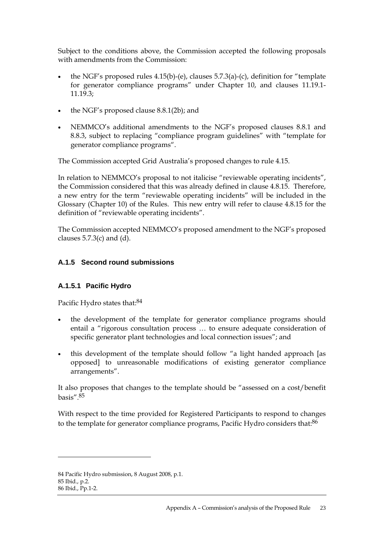Subject to the conditions above, the Commission accepted the following proposals with amendments from the Commission:

- the NGF's proposed rules  $4.15(b)$ -(e), clauses  $5.7.3(a)$ -(c), definition for "template for generator compliance programs" under Chapter 10, and clauses 11.19.1- 11.19.3;
- the NGF's proposed clause 8.8.1(2b); and
- NEMMCO's additional amendments to the NGF's proposed clauses 8.8.1 and 8.8.3, subject to replacing "compliance program guidelines" with "template for generator compliance programs".

The Commission accepted Grid Australia's proposed changes to rule 4.15.

In relation to NEMMCO's proposal to not italicise "reviewable operating incidents", the Commission considered that this was already defined in clause 4.8.15. Therefore, a new entry for the term "reviewable operating incidents" will be included in the Glossary (Chapter 10) of the Rules. This new entry will refer to clause 4.8.15 for the definition of "reviewable operating incidents".

The Commission accepted NEMMCO's proposed amendment to the NGF's proposed clauses  $5.7.3(c)$  and  $(d)$ .

# **A.1.5 Second round submissions**

#### **A.1.5.1 Pacific Hydro**

Pacific Hydro states that:<sup>84</sup>

- the development of the template for generator compliance programs should entail a "rigorous consultation process … to ensure adequate consideration of specific generator plant technologies and local connection issues"; and
- this development of the template should follow "a light handed approach [as opposed] to unreasonable modifications of existing generator compliance arrangements".

It also proposes that changes to the template should be "assessed on a cost/benefit basis".85

With respect to the time provided for Registered Participants to respond to changes to the template for generator compliance programs, Pacific Hydro considers that:<sup>86</sup>

<sup>84</sup> Pacific Hydro submission, 8 August 2008, p.1. 85 Ibid., p.2.

<sup>86</sup> Ibid., Pp.1-2.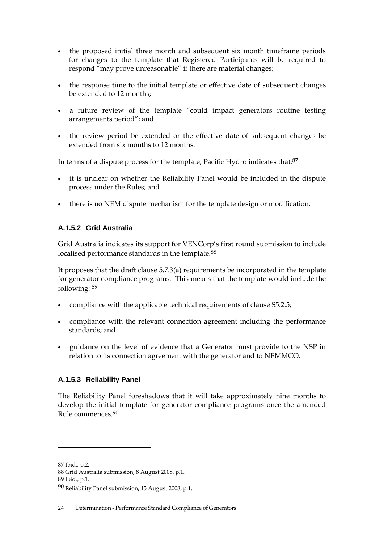- the proposed initial three month and subsequent six month timeframe periods for changes to the template that Registered Participants will be required to respond "may prove unreasonable" if there are material changes;
- the response time to the initial template or effective date of subsequent changes be extended to 12 months;
- a future review of the template "could impact generators routine testing arrangements period"; and
- the review period be extended or the effective date of subsequent changes be extended from six months to 12 months.

In terms of a dispute process for the template, Pacific Hydro indicates that:87

- it is unclear on whether the Reliability Panel would be included in the dispute process under the Rules; and
- there is no NEM dispute mechanism for the template design or modification.

#### **A.1.5.2 Grid Australia**

Grid Australia indicates its support for VENCorp's first round submission to include localised performance standards in the template.<sup>88</sup>

It proposes that the draft clause 5.7.3(a) requirements be incorporated in the template for generator compliance programs. This means that the template would include the following: 89

- compliance with the applicable technical requirements of clause S5.2.5;
- compliance with the relevant connection agreement including the performance standards; and
- guidance on the level of evidence that a Generator must provide to the NSP in relation to its connection agreement with the generator and to NEMMCO.

#### **A.1.5.3 Reliability Panel**

The Reliability Panel foreshadows that it will take approximately nine months to develop the initial template for generator compliance programs once the amended Rule commences.90

<sup>87</sup> Ibid., p.2.

<sup>88</sup> Grid Australia submission, 8 August 2008, p.1. 89 Ibid., p.1. 90 Reliability Panel submission, 15 August 2008, p.1.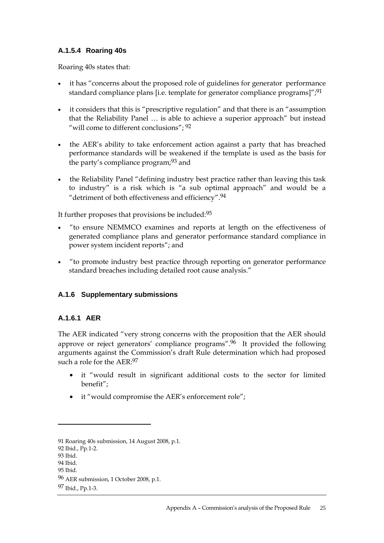### **A.1.5.4 Roaring 40s**

Roaring 40s states that:

- it has "concerns about the proposed role of guidelines for generator performance standard compliance plans [i.e. template for generator compliance programs]";<sup>91</sup>
- it considers that this is "prescriptive regulation" and that there is an "assumption that the Reliability Panel … is able to achieve a superior approach" but instead "will come to different conclusions"; 92
- the AER's ability to take enforcement action against a party that has breached performance standards will be weakened if the template is used as the basis for the party's compliance program;<sup>93</sup> and
- the Reliability Panel "defining industry best practice rather than leaving this task to industry" is a risk which is "a sub optimal approach" and would be a "detriment of both effectiveness and efficiency".94

It further proposes that provisions be included:95

- "to ensure NEMMCO examines and reports at length on the effectiveness of generated compliance plans and generator performance standard compliance in power system incident reports"; and
- "to promote industry best practice through reporting on generator performance standard breaches including detailed root cause analysis."

#### **A.1.6 Supplementary submissions**

#### **A.1.6.1 AER**

The AER indicated "very strong concerns with the proposition that the AER should approve or reject generators' compliance programs".96 It provided the following arguments against the Commission's draft Rule determination which had proposed such a role for the AER:97

- it "would result in significant additional costs to the sector for limited benefit";
- it "would compromise the AER's enforcement role";

<sup>91</sup> Roaring 40s submission, 14 August 2008, p.1.

<sup>92</sup> Ibid., Pp.1-2.

<sup>93</sup> Ibid.

<sup>94</sup> Ibid.

<sup>95</sup> Ibid.

<sup>96</sup> AER submission, 1 October 2008, p.1.

<sup>97</sup> Ibid., Pp.1-3.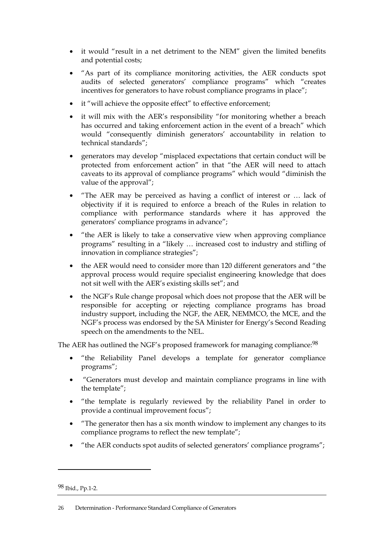- it would "result in a net detriment to the NEM" given the limited benefits and potential costs;
- "As part of its compliance monitoring activities, the AER conducts spot audits of selected generators' compliance programs" which "creates incentives for generators to have robust compliance programs in place";
- it "will achieve the opposite effect" to effective enforcement;
- it will mix with the AER's responsibility "for monitoring whether a breach has occurred and taking enforcement action in the event of a breach" which would "consequently diminish generators' accountability in relation to technical standards";
- generators may develop "misplaced expectations that certain conduct will be protected from enforcement action" in that "the AER will need to attach caveats to its approval of compliance programs" which would "diminish the value of the approval":
- "The AER may be perceived as having a conflict of interest or … lack of objectivity if it is required to enforce a breach of the Rules in relation to compliance with performance standards where it has approved the generators' compliance programs in advance";
- "the AER is likely to take a conservative view when approving compliance programs" resulting in a "likely … increased cost to industry and stifling of innovation in compliance strategies";
- the AER would need to consider more than 120 different generators and "the approval process would require specialist engineering knowledge that does not sit well with the AER's existing skills set"; and
- the NGF's Rule change proposal which does not propose that the AER will be responsible for accepting or rejecting compliance programs has broad industry support, including the NGF, the AER, NEMMCO, the MCE, and the NGF's process was endorsed by the SA Minister for Energy's Second Reading speech on the amendments to the NEL.

The AER has outlined the NGF's proposed framework for managing compliance:<sup>98</sup>

- "the Reliability Panel develops a template for generator compliance programs";
- "Generators must develop and maintain compliance programs in line with the template";
- "the template is regularly reviewed by the reliability Panel in order to provide a continual improvement focus";
- "The generator then has a six month window to implement any changes to its compliance programs to reflect the new template";
- "the AER conducts spot audits of selected generators' compliance programs";

<sup>98</sup> Ibid., Pp.1-2.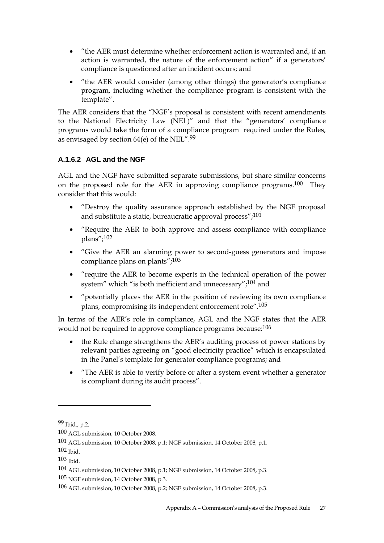- "the AER must determine whether enforcement action is warranted and, if an action is warranted, the nature of the enforcement action" if a generators' compliance is questioned after an incident occurs; and
- "the AER would consider (among other things) the generator's compliance program, including whether the compliance program is consistent with the template".

The AER considers that the "NGF's proposal is consistent with recent amendments to the National Electricity Law (NEL)" and that the "generators' compliance programs would take the form of a compliance program required under the Rules, as envisaged by section 64(e) of the NEL".99

#### **A.1.6.2 AGL and the NGF**

AGL and the NGF have submitted separate submissions, but share similar concerns on the proposed role for the AER in approving compliance programs.<sup>100</sup> They consider that this would:

- "Destroy the quality assurance approach established by the NGF proposal and substitute a static, bureaucratic approval process";101
- "Require the AER to both approve and assess compliance with compliance plans";102
- "Give the AER an alarming power to second-guess generators and impose compliance plans on plants";103
- "require the AER to become experts in the technical operation of the power system" which "is both inefficient and unnecessary";104 and
- "potentially places the AER in the position of reviewing its own compliance plans, compromising its independent enforcement role".105

In terms of the AER's role in compliance, AGL and the NGF states that the AER would not be required to approve compliance programs because:106

- the Rule change strengthens the AER's auditing process of power stations by relevant parties agreeing on "good electricity practice" which is encapsulated in the Panel's template for generator compliance programs; and
- "The AER is able to verify before or after a system event whether a generator is compliant during its audit process".

<sup>99</sup> Ibid., p.2.

<sup>100</sup> AGL submission, 10 October 2008.

<sup>101</sup> AGL submission, 10 October 2008, p.1; NGF submission, 14 October 2008, p.1.

 $102$  Ibid.

<sup>103</sup> Ibid.

<sup>104</sup> AGL submission, 10 October 2008, p.1; NGF submission, 14 October 2008, p.3.

<sup>105</sup> NGF submission, 14 October 2008, p.3.

<sup>106</sup> AGL submission, 10 October 2008, p.2; NGF submission, 14 October 2008, p.3.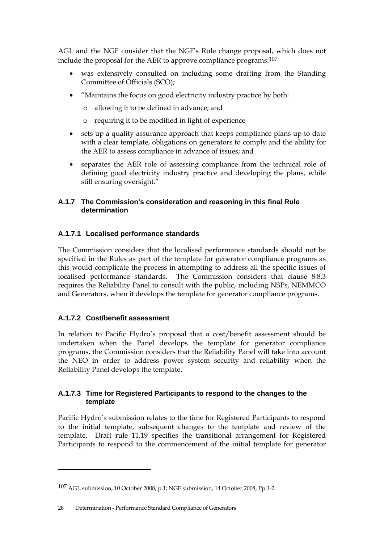AGL and the NGF consider that the NGF's Rule change proposal, which does not include the proposal for the AER to approve compliance programs:107

- was extensively consulted on including some drafting from the Standing Committee of Officials (SCO);
- "Maintains the focus on good electricity industry practice by both:
	- o allowing it to be defined in advance; and
	- o requiring it to be modified in light of experience
- sets up a quality assurance approach that keeps compliance plans up to date with a clear template, obligations on generators to comply and the ability for the AER to assess compliance in advance of issues; and
- separates the AER role of assessing compliance from the technical role of defining good electricity industry practice and developing the plans, while still ensuring oversight."

#### **A.1.7 The Commission's consideration and reasoning in this final Rule determination**

# **A.1.7.1 Localised performance standards**

The Commission considers that the localised performance standards should not be specified in the Rules as part of the template for generator compliance programs as this would complicate the process in attempting to address all the specific issues of localised performance standards. The Commission considers that clause 8.8.3 requires the Reliability Panel to consult with the public, including NSPs, NEMMCO and Generators, when it develops the template for generator compliance programs.

#### **A.1.7.2 Cost/benefit assessment**

 $\overline{a}$ 

In relation to Pacific Hydro's proposal that a cost/benefit assessment should be undertaken when the Panel develops the template for generator compliance programs, the Commission considers that the Reliability Panel will take into account the NEO in order to address power system security and reliability when the Reliability Panel develops the template.

#### **A.1.7.3 Time for Registered Participants to respond to the changes to the template**

Pacific Hydro's submission relates to the time for Registered Participants to respond to the initial template, subsequent changes to the template and review of the template. Draft rule 11.19 specifies the transitional arrangement for Registered Participants to respond to the commencement of the initial template for generator

<sup>107</sup> AGL submission, 10 October 2008, p.1; NGF submission, 14 October 2008, Pp.1-2.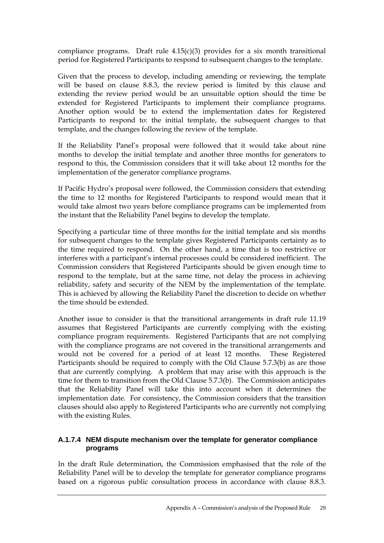compliance programs. Draft rule  $4.15(c)(3)$  provides for a six month transitional period for Registered Participants to respond to subsequent changes to the template.

Given that the process to develop, including amending or reviewing, the template will be based on clause 8.8.3, the review period is limited by this clause and extending the review period would be an unsuitable option should the time be extended for Registered Participants to implement their compliance programs. Another option would be to extend the implementation dates for Registered Participants to respond to: the initial template, the subsequent changes to that template, and the changes following the review of the template.

If the Reliability Panel's proposal were followed that it would take about nine months to develop the initial template and another three months for generators to respond to this, the Commission considers that it will take about 12 months for the implementation of the generator compliance programs.

If Pacific Hydro's proposal were followed, the Commission considers that extending the time to 12 months for Registered Participants to respond would mean that it would take almost two years before compliance programs can be implemented from the instant that the Reliability Panel begins to develop the template.

Specifying a particular time of three months for the initial template and six months for subsequent changes to the template gives Registered Participants certainty as to the time required to respond. On the other hand, a time that is too restrictive or interferes with a participant's internal processes could be considered inefficient. The Commission considers that Registered Participants should be given enough time to respond to the template, but at the same time, not delay the process in achieving reliability, safety and security of the NEM by the implementation of the template. This is achieved by allowing the Reliability Panel the discretion to decide on whether the time should be extended.

Another issue to consider is that the transitional arrangements in draft rule 11.19 assumes that Registered Participants are currently complying with the existing compliance program requirements. Registered Participants that are not complying with the compliance programs are not covered in the transitional arrangements and would not be covered for a period of at least 12 months. These Registered Participants should be required to comply with the Old Clause 5.7.3(b) as are those that are currently complying. A problem that may arise with this approach is the time for them to transition from the Old Clause 5.7.3(b). The Commission anticipates that the Reliability Panel will take this into account when it determines the implementation date. For consistency, the Commission considers that the transition clauses should also apply to Registered Participants who are currently not complying with the existing Rules.

#### **A.1.7.4 NEM dispute mechanism over the template for generator compliance programs**

In the draft Rule determination, the Commission emphasised that the role of the Reliability Panel will be to develop the template for generator compliance programs based on a rigorous public consultation process in accordance with clause 8.8.3.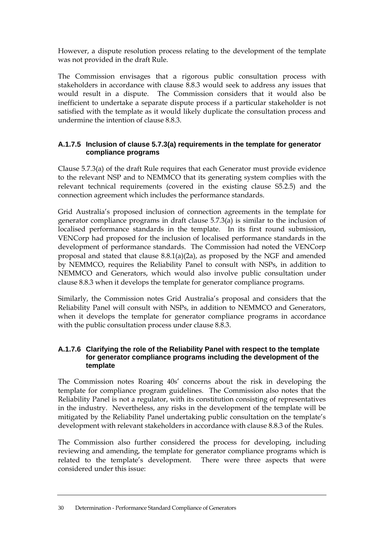However, a dispute resolution process relating to the development of the template was not provided in the draft Rule.

The Commission envisages that a rigorous public consultation process with stakeholders in accordance with clause 8.8.3 would seek to address any issues that would result in a dispute. The Commission considers that it would also be inefficient to undertake a separate dispute process if a particular stakeholder is not satisfied with the template as it would likely duplicate the consultation process and undermine the intention of clause 8.8.3.

#### **A.1.7.5 Inclusion of clause 5.7.3(a) requirements in the template for generator compliance programs**

Clause 5.7.3(a) of the draft Rule requires that each Generator must provide evidence to the relevant NSP and to NEMMCO that its generating system complies with the relevant technical requirements (covered in the existing clause S5.2.5) and the connection agreement which includes the performance standards.

Grid Australia's proposed inclusion of connection agreements in the template for generator compliance programs in draft clause 5.7.3(a) is similar to the inclusion of localised performance standards in the template. In its first round submission, VENCorp had proposed for the inclusion of localised performance standards in the development of performance standards. The Commission had noted the VENCorp proposal and stated that clause 8.8.1(a)(2a), as proposed by the NGF and amended by NEMMCO, requires the Reliability Panel to consult with NSPs, in addition to NEMMCO and Generators, which would also involve public consultation under clause 8.8.3 when it develops the template for generator compliance programs.

Similarly, the Commission notes Grid Australia's proposal and considers that the Reliability Panel will consult with NSPs, in addition to NEMMCO and Generators, when it develops the template for generator compliance programs in accordance with the public consultation process under clause 8.8.3.

#### **A.1.7.6 Clarifying the role of the Reliability Panel with respect to the template for generator compliance programs including the development of the template**

The Commission notes Roaring 40s' concerns about the risk in developing the template for compliance program guidelines. The Commission also notes that the Reliability Panel is not a regulator, with its constitution consisting of representatives in the industry. Nevertheless, any risks in the development of the template will be mitigated by the Reliability Panel undertaking public consultation on the template's development with relevant stakeholders in accordance with clause 8.8.3 of the Rules.

The Commission also further considered the process for developing, including reviewing and amending, the template for generator compliance programs which is related to the template's development. There were three aspects that were considered under this issue: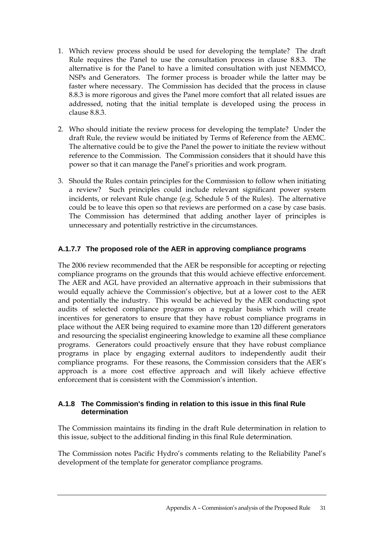- 1. Which review process should be used for developing the template? The draft Rule requires the Panel to use the consultation process in clause 8.8.3. The alternative is for the Panel to have a limited consultation with just NEMMCO, NSPs and Generators. The former process is broader while the latter may be faster where necessary. The Commission has decided that the process in clause 8.8.3 is more rigorous and gives the Panel more comfort that all related issues are addressed, noting that the initial template is developed using the process in clause 8.8.3.
- 2. Who should initiate the review process for developing the template? Under the draft Rule, the review would be initiated by Terms of Reference from the AEMC. The alternative could be to give the Panel the power to initiate the review without reference to the Commission. The Commission considers that it should have this power so that it can manage the Panel's priorities and work program.
- 3. Should the Rules contain principles for the Commission to follow when initiating a review? Such principles could include relevant significant power system incidents, or relevant Rule change (e.g. Schedule 5 of the Rules). The alternative could be to leave this open so that reviews are performed on a case by case basis. The Commission has determined that adding another layer of principles is unnecessary and potentially restrictive in the circumstances.

# **A.1.7.7 The proposed role of the AER in approving compliance programs**

The 2006 review recommended that the AER be responsible for accepting or rejecting compliance programs on the grounds that this would achieve effective enforcement. The AER and AGL have provided an alternative approach in their submissions that would equally achieve the Commission's objective, but at a lower cost to the AER and potentially the industry. This would be achieved by the AER conducting spot audits of selected compliance programs on a regular basis which will create incentives for generators to ensure that they have robust compliance programs in place without the AER being required to examine more than 120 different generators and resourcing the specialist engineering knowledge to examine all these compliance programs. Generators could proactively ensure that they have robust compliance programs in place by engaging external auditors to independently audit their compliance programs. For these reasons, the Commission considers that the AER's approach is a more cost effective approach and will likely achieve effective enforcement that is consistent with the Commission's intention.

#### **A.1.8 The Commission's finding in relation to this issue in this final Rule determination**

The Commission maintains its finding in the draft Rule determination in relation to this issue, subject to the additional finding in this final Rule determination.

The Commission notes Pacific Hydro's comments relating to the Reliability Panel's development of the template for generator compliance programs.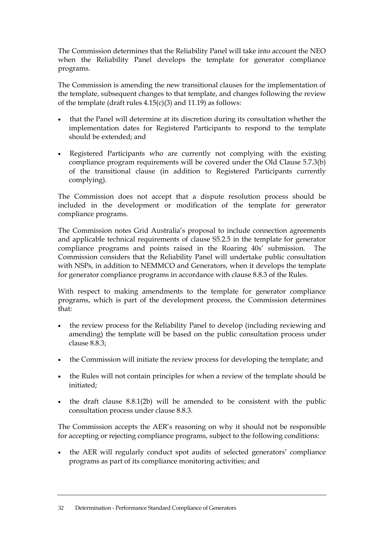The Commission determines that the Reliability Panel will take into account the NEO when the Reliability Panel develops the template for generator compliance programs.

The Commission is amending the new transitional clauses for the implementation of the template, subsequent changes to that template, and changes following the review of the template (draft rules  $4.15(c)(3)$  and  $11.19$ ) as follows:

- that the Panel will determine at its discretion during its consultation whether the implementation dates for Registered Participants to respond to the template should be extended; and
- Registered Participants who are currently not complying with the existing compliance program requirements will be covered under the Old Clause 5.7.3(b) of the transitional clause (in addition to Registered Participants currently complying).

The Commission does not accept that a dispute resolution process should be included in the development or modification of the template for generator compliance programs.

The Commission notes Grid Australia's proposal to include connection agreements and applicable technical requirements of clause S5.2.5 in the template for generator compliance programs and points raised in the Roaring 40s' submission. The Commission considers that the Reliability Panel will undertake public consultation with NSPs, in addition to NEMMCO and Generators, when it develops the template for generator compliance programs in accordance with clause 8.8.3 of the Rules.

With respect to making amendments to the template for generator compliance programs, which is part of the development process, the Commission determines that:

- the review process for the Reliability Panel to develop (including reviewing and amending) the template will be based on the public consultation process under clause 8.8.3;
- the Commission will initiate the review process for developing the template; and
- the Rules will not contain principles for when a review of the template should be initiated;
- the draft clause  $8.8.1(2b)$  will be amended to be consistent with the public consultation process under clause 8.8.3.

The Commission accepts the AER's reasoning on why it should not be responsible for accepting or rejecting compliance programs, subject to the following conditions:

• the AER will regularly conduct spot audits of selected generators' compliance programs as part of its compliance monitoring activities; and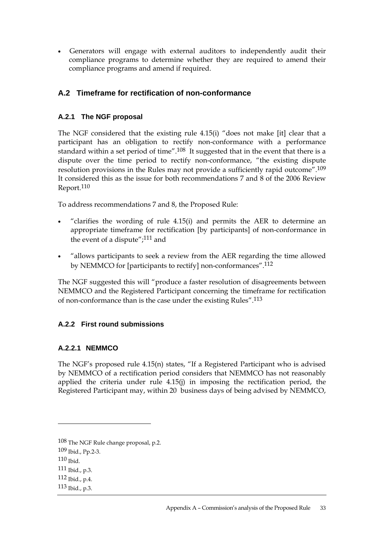• Generators will engage with external auditors to independently audit their compliance programs to determine whether they are required to amend their compliance programs and amend if required.

# **A.2 Timeframe for rectification of non-conformance**

# **A.2.1 The NGF proposal**

The NGF considered that the existing rule 4.15(i) "does not make [it] clear that a participant has an obligation to rectify non-conformance with a performance standard within a set period of time".108 It suggested that in the event that there is a dispute over the time period to rectify non-conformance, "the existing dispute resolution provisions in the Rules may not provide a sufficiently rapid outcome".109 It considered this as the issue for both recommendations 7 and 8 of the 2006 Review Report.110

To address recommendations 7 and 8, the Proposed Rule:

- "clarifies the wording of rule 4.15(i) and permits the AER to determine an appropriate timeframe for rectification [by participants] of non-conformance in the event of a dispute";111 and
- "allows participants to seek a review from the AER regarding the time allowed by NEMMCO for [participants to rectify] non-conformances".112

The NGF suggested this will "produce a faster resolution of disagreements between NEMMCO and the Registered Participant concerning the timeframe for rectification of non-conformance than is the case under the existing Rules".113

#### **A.2.2 First round submissions**

#### **A.2.2.1 NEMMCO**

 $\overline{a}$ 

The NGF's proposed rule 4.15(n) states, "If a Registered Participant who is advised by NEMMCO of a rectification period considers that NEMMCO has not reasonably applied the criteria under rule 4.15(j) in imposing the rectification period, the Registered Participant may, within 20 business days of being advised by NEMMCO,

<sup>108</sup> The NGF Rule change proposal, p.2. 109 Ibid., Pp.2-3. 110 Ibid. 111 Ibid., p.3. 112 Ibid., p.4. 113 Ibid., p.3.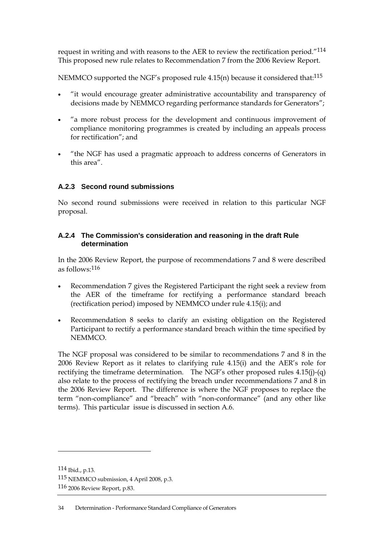request in writing and with reasons to the AER to review the rectification period."114 This proposed new rule relates to Recommendation 7 from the 2006 Review Report.

NEMMCO supported the NGF's proposed rule 4.15(n) because it considered that:115

- "it would encourage greater administrative accountability and transparency of decisions made by NEMMCO regarding performance standards for Generators";
- "a more robust process for the development and continuous improvement of compliance monitoring programmes is created by including an appeals process for rectification"; and
- "the NGF has used a pragmatic approach to address concerns of Generators in this area".

#### **A.2.3 Second round submissions**

No second round submissions were received in relation to this particular NGF proposal.

#### **A.2.4 The Commission's consideration and reasoning in the draft Rule determination**

In the 2006 Review Report, the purpose of recommendations 7 and 8 were described as follows:116

- Recommendation 7 gives the Registered Participant the right seek a review from the AER of the timeframe for rectifying a performance standard breach (rectification period) imposed by NEMMCO under rule 4.15(i); and
- Recommendation 8 seeks to clarify an existing obligation on the Registered Participant to rectify a performance standard breach within the time specified by NEMMCO.

The NGF proposal was considered to be similar to recommendations 7 and 8 in the 2006 Review Report as it relates to clarifying rule 4.15(i) and the AER's role for rectifying the timeframe determination. The NGF's other proposed rules 4.15(j)-(q) also relate to the process of rectifying the breach under recommendations 7 and 8 in the 2006 Review Report. The difference is where the NGF proposes to replace the term "non-compliance" and "breach" with "non-conformance" (and any other like terms). This particular issue is discussed in section A.6.

<sup>114</sup> Ibid., p.13.

<sup>115</sup> NEMMCO submission, 4 April 2008, p.3.

<sup>116 2006</sup> Review Report, p.83.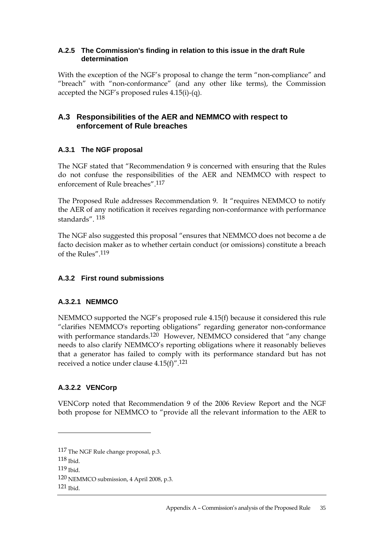#### **A.2.5 The Commission's finding in relation to this issue in the draft Rule determination**

With the exception of the NGF's proposal to change the term "non-compliance" and "breach" with "non-conformance" (and any other like terms), the Commission accepted the NGF's proposed rules 4.15(i)-(q).

# **A.3 Responsibilities of the AER and NEMMCO with respect to enforcement of Rule breaches**

#### **A.3.1 The NGF proposal**

The NGF stated that "Recommendation 9 is concerned with ensuring that the Rules do not confuse the responsibilities of the AER and NEMMCO with respect to enforcement of Rule breaches".117

The Proposed Rule addresses Recommendation 9. It "requires NEMMCO to notify the AER of any notification it receives regarding non-conformance with performance standards". 118

The NGF also suggested this proposal "ensures that NEMMCO does not become a de facto decision maker as to whether certain conduct (or omissions) constitute a breach of the Rules".119

# **A.3.2 First round submissions**

#### **A.3.2.1 NEMMCO**

NEMMCO supported the NGF's proposed rule 4.15(f) because it considered this rule "clarifies NEMMCO's reporting obligations" regarding generator non-conformance with performance standards.<sup>120</sup> However, NEMMCO considered that "any change needs to also clarify NEMMCO's reporting obligations where it reasonably believes that a generator has failed to comply with its performance standard but has not received a notice under clause 4.15(f)".121

# **A.3.2.2 VENCorp**

VENCorp noted that Recommendation 9 of the 2006 Review Report and the NGF both propose for NEMMCO to "provide all the relevant information to the AER to

<sup>117</sup> The NGF Rule change proposal, p.3.

<sup>118</sup> Ibid.

<sup>119</sup> Ibid.

<sup>120</sup> NEMMCO submission, 4 April 2008, p.3.

<sup>121</sup> Ibid.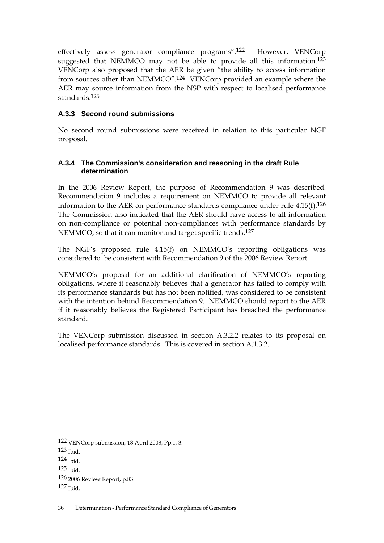effectively assess generator compliance programs".122 However, VENCorp suggested that NEMMCO may not be able to provide all this information.<sup>123</sup> VENCorp also proposed that the AER be given "the ability to access information from sources other than NEMMCO".124 VENCorp provided an example where the AER may source information from the NSP with respect to localised performance standards.125

#### **A.3.3 Second round submissions**

No second round submissions were received in relation to this particular NGF proposal.

#### **A.3.4 The Commission's consideration and reasoning in the draft Rule determination**

In the 2006 Review Report, the purpose of Recommendation 9 was described. Recommendation 9 includes a requirement on NEMMCO to provide all relevant information to the AER on performance standards compliance under rule 4.15(f).126 The Commission also indicated that the AER should have access to all information on non-compliance or potential non-compliances with performance standards by NEMMCO, so that it can monitor and target specific trends.127

The NGF's proposed rule 4.15(f) on NEMMCO's reporting obligations was considered to be consistent with Recommendation 9 of the 2006 Review Report.

NEMMCO's proposal for an additional clarification of NEMMCO's reporting obligations, where it reasonably believes that a generator has failed to comply with its performance standards but has not been notified, was considered to be consistent with the intention behind Recommendation 9. NEMMCO should report to the AER if it reasonably believes the Registered Participant has breached the performance standard.

The VENCorp submission discussed in section A.3.2.2 relates to its proposal on localised performance standards. This is covered in section A.1.3.2.

<sup>122</sup> VENCorp submission, 18 April 2008, Pp.1, 3.

<sup>123</sup> Ibid.

<sup>124</sup> Ibid.

<sup>125</sup> Ibid.

<sup>126 2006</sup> Review Report, p.83.

 $127$  Ibid.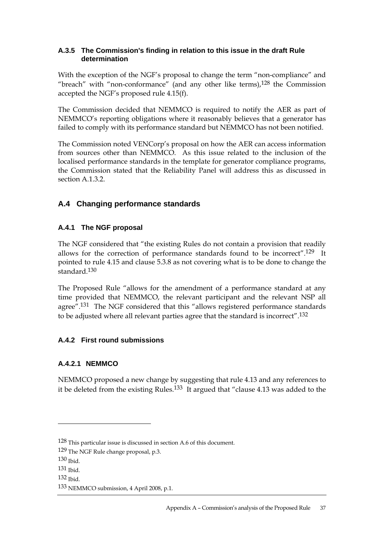#### **A.3.5 The Commission's finding in relation to this issue in the draft Rule determination**

With the exception of the NGF's proposal to change the term "non-compliance" and "breach" with "non-conformance" (and any other like terms), $128$  the Commission accepted the NGF's proposed rule 4.15(f).

The Commission decided that NEMMCO is required to notify the AER as part of NEMMCO's reporting obligations where it reasonably believes that a generator has failed to comply with its performance standard but NEMMCO has not been notified.

The Commission noted VENCorp's proposal on how the AER can access information from sources other than NEMMCO. As this issue related to the inclusion of the localised performance standards in the template for generator compliance programs, the Commission stated that the Reliability Panel will address this as discussed in section A.1.3.2.

# **A.4 Changing performance standards**

# **A.4.1 The NGF proposal**

The NGF considered that "the existing Rules do not contain a provision that readily allows for the correction of performance standards found to be incorrect".129 It pointed to rule 4.15 and clause 5.3.8 as not covering what is to be done to change the standard.130

The Proposed Rule "allows for the amendment of a performance standard at any time provided that NEMMCO, the relevant participant and the relevant NSP all agree".131 The NGF considered that this "allows registered performance standards to be adjusted where all relevant parties agree that the standard is incorrect".132

#### **A.4.2 First round submissions**

#### **A.4.2.1 NEMMCO**

NEMMCO proposed a new change by suggesting that rule 4.13 and any references to it be deleted from the existing Rules.133 It argued that "clause 4.13 was added to the

<sup>128</sup> This particular issue is discussed in section A.6 of this document.

<sup>129</sup> The NGF Rule change proposal, p.3.

<sup>130</sup> Ibid.

<sup>131</sup> Ibid.

<sup>132</sup> Ibid.

<sup>133</sup> NEMMCO submission, 4 April 2008, p.1.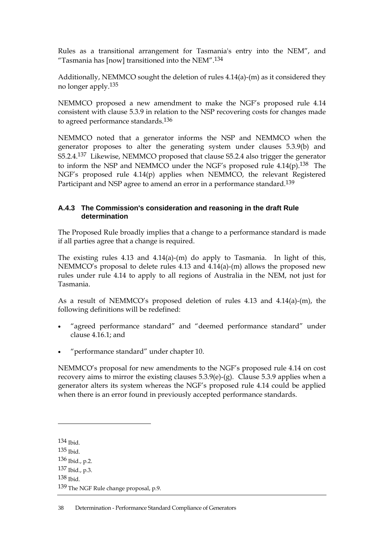Rules as a transitional arrangement for Tasmania's entry into the NEM", and "Tasmania has [now] transitioned into the NEM".134

Additionally, NEMMCO sought the deletion of rules 4.14(a)-(m) as it considered they no longer apply.135

NEMMCO proposed a new amendment to make the NGF's proposed rule 4.14 consistent with clause 5.3.9 in relation to the NSP recovering costs for changes made to agreed performance standards.136

NEMMCO noted that a generator informs the NSP and NEMMCO when the generator proposes to alter the generating system under clauses 5.3.9(b) and S5.2.4.137 Likewise, NEMMCO proposed that clause S5.2.4 also trigger the generator to inform the NSP and NEMMCO under the NGF's proposed rule  $4.14(p)$ .<sup>138</sup> The NGF's proposed rule 4.14(p) applies when NEMMCO, the relevant Registered Participant and NSP agree to amend an error in a performance standard.<sup>139</sup>

#### **A.4.3 The Commission's consideration and reasoning in the draft Rule determination**

The Proposed Rule broadly implies that a change to a performance standard is made if all parties agree that a change is required.

The existing rules 4.13 and 4.14(a)-(m) do apply to Tasmania. In light of this, NEMMCO's proposal to delete rules 4.13 and 4.14(a)-(m) allows the proposed new rules under rule 4.14 to apply to all regions of Australia in the NEM, not just for Tasmania.

As a result of NEMMCO's proposed deletion of rules 4.13 and 4.14(a)-(m), the following definitions will be redefined:

- "agreed performance standard" and "deemed performance standard" under clause 4.16.1; and
- "performance standard" under chapter 10.

NEMMCO's proposal for new amendments to the NGF's proposed rule 4.14 on cost recovery aims to mirror the existing clauses 5.3.9(e)-(g). Clause 5.3.9 applies when a generator alters its system whereas the NGF's proposed rule 4.14 could be applied when there is an error found in previously accepted performance standards.

 $134$  Ibid.

 $135$  Ibid.

<sup>136</sup> Ibid., p.2.

<sup>137</sup> Ibid., p.3.

<sup>138</sup> Ibid.

<sup>139</sup> The NGF Rule change proposal, p.9.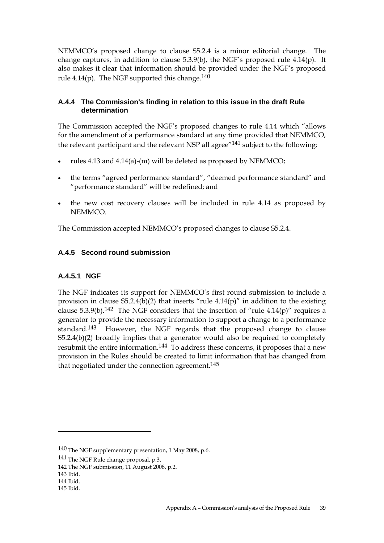NEMMCO's proposed change to clause S5.2.4 is a minor editorial change. The change captures, in addition to clause 5.3.9(b), the NGF's proposed rule 4.14(p). It also makes it clear that information should be provided under the NGF's proposed rule 4.14(p). The NGF supported this change.<sup>140</sup>

#### **A.4.4 The Commission's finding in relation to this issue in the draft Rule determination**

The Commission accepted the NGF's proposed changes to rule 4.14 which "allows for the amendment of a performance standard at any time provided that NEMMCO, the relevant participant and the relevant NSP all agree"141 subject to the following:

- rules 4.13 and 4.14(a)-(m) will be deleted as proposed by NEMMCO;
- the terms "agreed performance standard", "deemed performance standard" and "performance standard" will be redefined; and
- the new cost recovery clauses will be included in rule 4.14 as proposed by NEMMCO.

The Commission accepted NEMMCO's proposed changes to clause S5.2.4.

# **A.4.5 Second round submission**

### **A.4.5.1 NGF**

The NGF indicates its support for NEMMCO's first round submission to include a provision in clause  $S5.2.4(b)(2)$  that inserts "rule  $4.14(p)$ " in addition to the existing clause 5.3.9(b).<sup>142</sup> The NGF considers that the insertion of "rule  $4.14(p)$ " requires a generator to provide the necessary information to support a change to a performance standard.143 However, the NGF regards that the proposed change to clause S5.2.4(b)(2) broadly implies that a generator would also be required to completely resubmit the entire information.144 To address these concerns, it proposes that a new provision in the Rules should be created to limit information that has changed from that negotiated under the connection agreement.<sup>145</sup>

<sup>140</sup> The NGF supplementary presentation, 1 May 2008, p.6.

<sup>141</sup> The NGF Rule change proposal, p.3.

<sup>142</sup> The NGF submission, 11 August 2008, p.2.

<sup>143</sup> Ibid.

<sup>144</sup> Ibid.

<sup>145</sup> Ibid.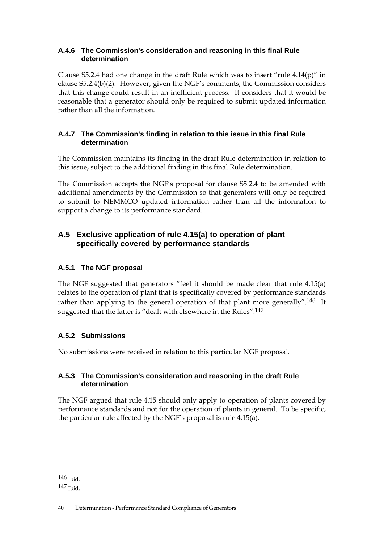#### **A.4.6 The Commission's consideration and reasoning in this final Rule determination**

Clause S5.2.4 had one change in the draft Rule which was to insert "rule 4.14(p)" in clause S5.2.4(b)(2). However, given the NGF's comments, the Commission considers that this change could result in an inefficient process. It considers that it would be reasonable that a generator should only be required to submit updated information rather than all the information.

#### **A.4.7 The Commission's finding in relation to this issue in this final Rule determination**

The Commission maintains its finding in the draft Rule determination in relation to this issue, subject to the additional finding in this final Rule determination.

The Commission accepts the NGF's proposal for clause S5.2.4 to be amended with additional amendments by the Commission so that generators will only be required to submit to NEMMCO updated information rather than all the information to support a change to its performance standard.

# **A.5 Exclusive application of rule 4.15(a) to operation of plant specifically covered by performance standards**

### **A.5.1 The NGF proposal**

The NGF suggested that generators "feel it should be made clear that rule 4.15(a) relates to the operation of plant that is specifically covered by performance standards rather than applying to the general operation of that plant more generally".<sup>146</sup> It suggested that the latter is "dealt with elsewhere in the Rules".147

#### **A.5.2 Submissions**

No submissions were received in relation to this particular NGF proposal.

#### **A.5.3 The Commission's consideration and reasoning in the draft Rule determination**

The NGF argued that rule 4.15 should only apply to operation of plants covered by performance standards and not for the operation of plants in general. To be specific, the particular rule affected by the NGF's proposal is rule 4.15(a).

 $146$  Ibid. 147 Ibid.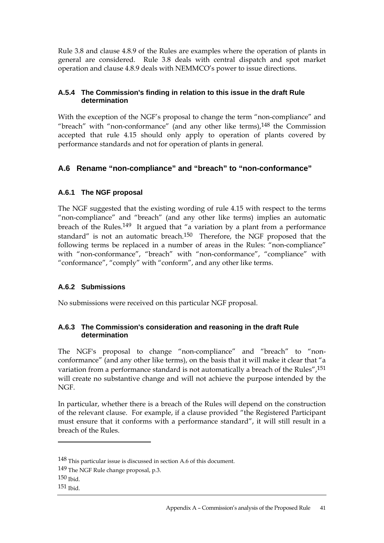Rule 3.8 and clause 4.8.9 of the Rules are examples where the operation of plants in general are considered. Rule 3.8 deals with central dispatch and spot market operation and clause 4.8.9 deals with NEMMCO's power to issue directions.

#### **A.5.4 The Commission's finding in relation to this issue in the draft Rule determination**

With the exception of the NGF's proposal to change the term "non-compliance" and "breach" with "non-conformance" (and any other like terms),<sup>148</sup> the Commission accepted that rule 4.15 should only apply to operation of plants covered by performance standards and not for operation of plants in general.

# **A.6 Rename "non-compliance" and "breach" to "non-conformance"**

# **A.6.1 The NGF proposal**

The NGF suggested that the existing wording of rule 4.15 with respect to the terms "non-compliance" and "breach" (and any other like terms) implies an automatic breach of the Rules.149 It argued that "a variation by a plant from a performance standard" is not an automatic breach.150 Therefore, the NGF proposed that the following terms be replaced in a number of areas in the Rules: "non-compliance" with "non-conformance", "breach" with "non-conformance", "compliance" with "conformance", "comply" with "conform", and any other like terms.

# **A.6.2 Submissions**

No submissions were received on this particular NGF proposal.

#### **A.6.3 The Commission's consideration and reasoning in the draft Rule determination**

The NGF's proposal to change "non-compliance" and "breach" to "nonconformance" (and any other like terms), on the basis that it will make it clear that "a variation from a performance standard is not automatically a breach of the Rules",151 will create no substantive change and will not achieve the purpose intended by the NGF.

In particular, whether there is a breach of the Rules will depend on the construction of the relevant clause. For example, if a clause provided "the Registered Participant must ensure that it conforms with a performance standard", it will still result in a breach of the Rules.

<sup>148</sup> This particular issue is discussed in section A.6 of this document.

<sup>149</sup> The NGF Rule change proposal, p.3.

 $150$  Ibid.

<sup>151</sup> Ibid.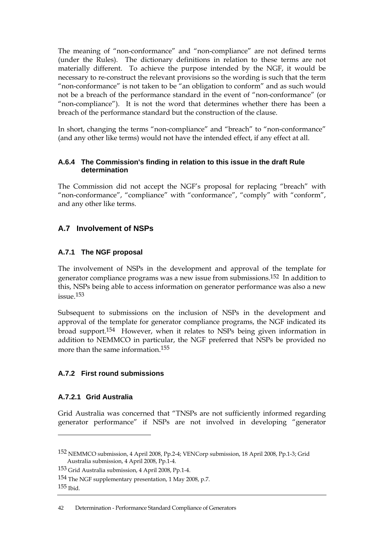The meaning of "non-conformance" and "non-compliance" are not defined terms (under the Rules). The dictionary definitions in relation to these terms are not materially different. To achieve the purpose intended by the NGF, it would be necessary to re-construct the relevant provisions so the wording is such that the term "non-conformance" is not taken to be "an obligation to conform" and as such would not be a breach of the performance standard in the event of "non-conformance" (or "non-compliance"). It is not the word that determines whether there has been a breach of the performance standard but the construction of the clause.

In short, changing the terms "non-compliance" and "breach" to "non-conformance" (and any other like terms) would not have the intended effect, if any effect at all.

#### **A.6.4 The Commission's finding in relation to this issue in the draft Rule determination**

The Commission did not accept the NGF's proposal for replacing "breach" with "non-conformance", "compliance" with "conformance", "comply" with "conform", and any other like terms.

# **A.7 Involvement of NSPs**

#### **A.7.1 The NGF proposal**

The involvement of NSPs in the development and approval of the template for generator compliance programs was a new issue from submissions.152 In addition to this, NSPs being able to access information on generator performance was also a new issue.153

Subsequent to submissions on the inclusion of NSPs in the development and approval of the template for generator compliance programs, the NGF indicated its broad support.154 However, when it relates to NSPs being given information in addition to NEMMCO in particular, the NGF preferred that NSPs be provided no more than the same information.155

#### **A.7.2 First round submissions**

#### **A.7.2.1 Grid Australia**

Grid Australia was concerned that "TNSPs are not sufficiently informed regarding generator performance" if NSPs are not involved in developing "generator

<sup>152</sup> NEMMCO submission, 4 April 2008, Pp.2-4; VENCorp submission, 18 April 2008, Pp.1-3; Grid Australia submission, 4 April 2008, Pp.1-4.

<sup>153</sup> Grid Australia submission, 4 April 2008, Pp.1-4.

<sup>154</sup> The NGF supplementary presentation, 1 May 2008, p.7.

 $155$  Ibid.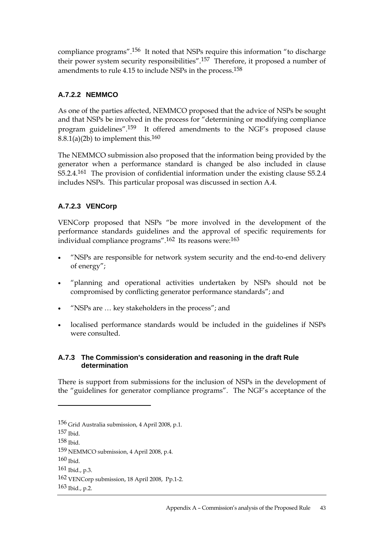compliance programs".156 It noted that NSPs require this information "to discharge their power system security responsibilities".157 Therefore, it proposed a number of amendments to rule 4.15 to include NSPs in the process.158

### **A.7.2.2 NEMMCO**

As one of the parties affected, NEMMCO proposed that the advice of NSPs be sought and that NSPs be involved in the process for "determining or modifying compliance program guidelines".159 It offered amendments to the NGF's proposed clause  $8.8.1(a)(2b)$  to implement this.<sup>160</sup>

The NEMMCO submission also proposed that the information being provided by the generator when a performance standard is changed be also included in clause S5.2.4.161 The provision of confidential information under the existing clause S5.2.4 includes NSPs. This particular proposal was discussed in section A.4.

#### **A.7.2.3 VENCorp**

VENCorp proposed that NSPs "be more involved in the development of the performance standards guidelines and the approval of specific requirements for individual compliance programs".162 Its reasons were:163

- "NSPs are responsible for network system security and the end-to-end delivery of energy";
- "planning and operational activities undertaken by NSPs should not be compromised by conflicting generator performance standards"; and
- "NSPs are … key stakeholders in the process"; and
- localised performance standards would be included in the guidelines if NSPs were consulted.

#### **A.7.3 The Commission's consideration and reasoning in the draft Rule determination**

There is support from submissions for the inclusion of NSPs in the development of the "guidelines for generator compliance programs". The NGF's acceptance of the

<sup>156</sup> Grid Australia submission, 4 April 2008, p.1.

 $157$  Ibid.

<sup>158</sup> Ibid.

<sup>159</sup> NEMMCO submission, 4 April 2008, p.4.

<sup>160</sup> Ibid.

<sup>161</sup> Ibid., p.3.

<sup>162</sup> VENCorp submission, 18 April 2008, Pp.1-2.

<sup>163</sup> Ibid., p.2.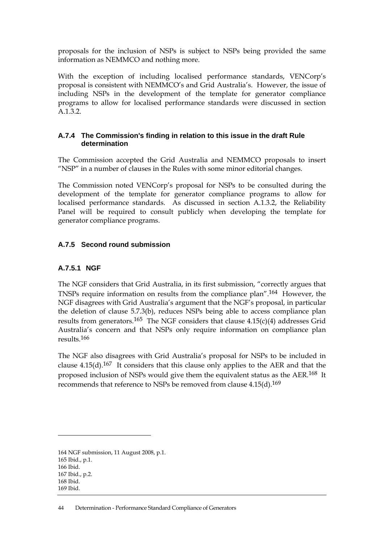proposals for the inclusion of NSPs is subject to NSPs being provided the same information as NEMMCO and nothing more.

With the exception of including localised performance standards, VENCorp's proposal is consistent with NEMMCO's and Grid Australia's. However, the issue of including NSPs in the development of the template for generator compliance programs to allow for localised performance standards were discussed in section A.1.3.2.

#### **A.7.4 The Commission's finding in relation to this issue in the draft Rule determination**

The Commission accepted the Grid Australia and NEMMCO proposals to insert "NSP" in a number of clauses in the Rules with some minor editorial changes.

The Commission noted VENCorp's proposal for NSPs to be consulted during the development of the template for generator compliance programs to allow for localised performance standards. As discussed in section A.1.3.2, the Reliability Panel will be required to consult publicly when developing the template for generator compliance programs.

# **A.7.5 Second round submission**

# **A.7.5.1 NGF**

 $\overline{a}$ 

The NGF considers that Grid Australia, in its first submission, "correctly argues that TNSPs require information on results from the compliance plan".164 However, the NGF disagrees with Grid Australia's argument that the NGF's proposal, in particular the deletion of clause 5.7.3(b), reduces NSPs being able to access compliance plan results from generators.<sup>165</sup> The NGF considers that clause  $4.15(c)(4)$  addresses Grid Australia's concern and that NSPs only require information on compliance plan results.166

The NGF also disagrees with Grid Australia's proposal for NSPs to be included in clause  $4.15(d)$ .<sup>167</sup> It considers that this clause only applies to the AER and that the proposed inclusion of NSPs would give them the equivalent status as the AER.168 It recommends that reference to NSPs be removed from clause 4.15(d).169

<sup>164</sup> NGF submission, 11 August 2008, p.1. 165 Ibid., p.1. 166 Ibid. 167 Ibid., p.2. 168 Ibid. 169 Ibid.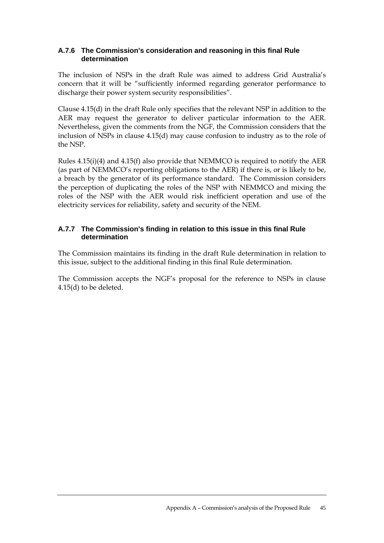#### **A.7.6 The Commission's consideration and reasoning in this final Rule determination**

The inclusion of NSPs in the draft Rule was aimed to address Grid Australia's concern that it will be "sufficiently informed regarding generator performance to discharge their power system security responsibilities".

Clause 4.15(d) in the draft Rule only specifies that the relevant NSP in addition to the AER may request the generator to deliver particular information to the AER. Nevertheless, given the comments from the NGF, the Commission considers that the inclusion of NSPs in clause 4.15(d) may cause confusion to industry as to the role of the NSP.

Rules 4.15(i)(4) and 4.15(f) also provide that NEMMCO is required to notify the AER (as part of NEMMCO's reporting obligations to the AER) if there is, or is likely to be, a breach by the generator of its performance standard. The Commission considers the perception of duplicating the roles of the NSP with NEMMCO and mixing the roles of the NSP with the AER would risk inefficient operation and use of the electricity services for reliability, safety and security of the NEM.

#### **A.7.7 The Commission's finding in relation to this issue in this final Rule determination**

The Commission maintains its finding in the draft Rule determination in relation to this issue, subject to the additional finding in this final Rule determination.

The Commission accepts the NGF's proposal for the reference to NSPs in clause 4.15(d) to be deleted.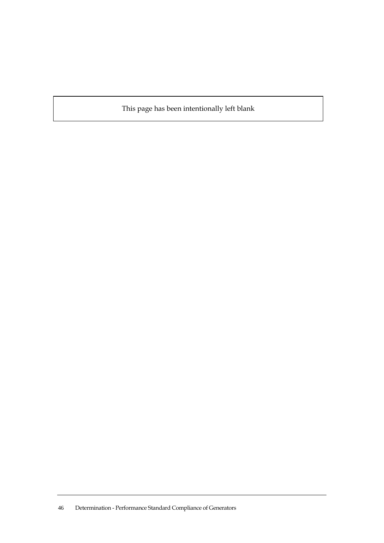This page has been intentionally left blank